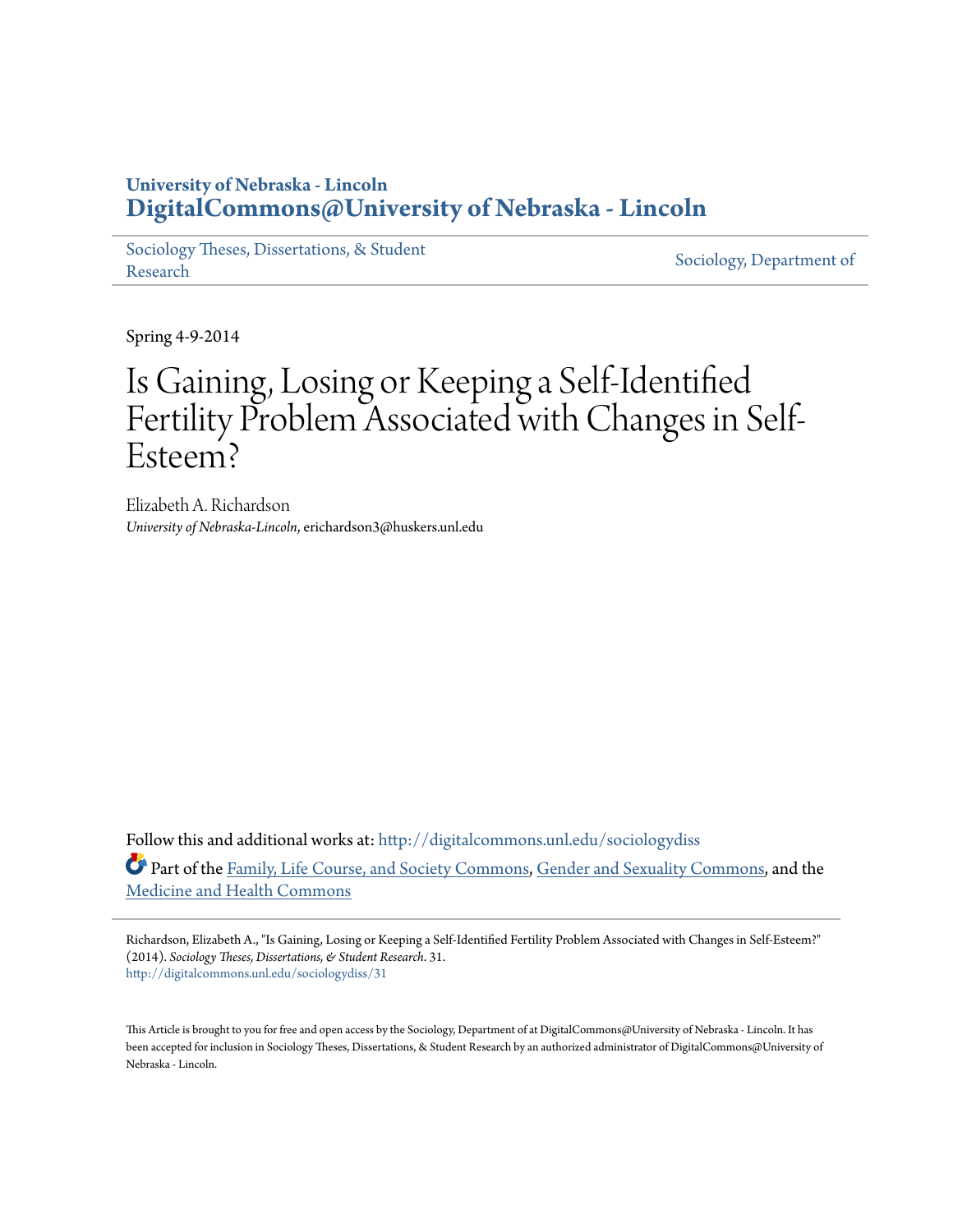## **University of Nebraska - Lincoln [DigitalCommons@University of Nebraska - Lincoln](http://digitalcommons.unl.edu?utm_source=digitalcommons.unl.edu%2Fsociologydiss%2F31&utm_medium=PDF&utm_campaign=PDFCoverPages)**

[Sociology Theses, Dissertations, & Student](http://digitalcommons.unl.edu/sociologydiss?utm_source=digitalcommons.unl.edu%2Fsociologydiss%2F31&utm_medium=PDF&utm_campaign=PDFCoverPages) [Research](http://digitalcommons.unl.edu/sociologydiss?utm_source=digitalcommons.unl.edu%2Fsociologydiss%2F31&utm_medium=PDF&utm_campaign=PDFCoverPages) Sociology, Dissertations, & Student [Sociology, Department of](http://digitalcommons.unl.edu/sociology?utm_source=digitalcommons.unl.edu%2Fsociologydiss%2F31&utm_medium=PDF&utm_campaign=PDFCoverPages)

Spring 4-9-2014

# Is Gaining, Losing or Keeping a Self-Identified Fertility Problem Associated with Changes in Self-Esteem?

Elizabeth A. Richardson *University of Nebraska-Lincoln*, erichardson3@huskers.unl.edu

Follow this and additional works at: [http://digitalcommons.unl.edu/sociologydiss](http://digitalcommons.unl.edu/sociologydiss?utm_source=digitalcommons.unl.edu%2Fsociologydiss%2F31&utm_medium=PDF&utm_campaign=PDFCoverPages) Part of the [Family, Life Course, and Society Commons](http://network.bepress.com/hgg/discipline/419?utm_source=digitalcommons.unl.edu%2Fsociologydiss%2F31&utm_medium=PDF&utm_campaign=PDFCoverPages), [Gender and Sexuality Commons](http://network.bepress.com/hgg/discipline/420?utm_source=digitalcommons.unl.edu%2Fsociologydiss%2F31&utm_medium=PDF&utm_campaign=PDFCoverPages), and the [Medicine and Health Commons](http://network.bepress.com/hgg/discipline/422?utm_source=digitalcommons.unl.edu%2Fsociologydiss%2F31&utm_medium=PDF&utm_campaign=PDFCoverPages)

Richardson, Elizabeth A., "Is Gaining, Losing or Keeping a Self-Identified Fertility Problem Associated with Changes in Self-Esteem?" (2014). *Sociology Theses, Dissertations, & Student Research*. 31. [http://digitalcommons.unl.edu/sociologydiss/31](http://digitalcommons.unl.edu/sociologydiss/31?utm_source=digitalcommons.unl.edu%2Fsociologydiss%2F31&utm_medium=PDF&utm_campaign=PDFCoverPages)

This Article is brought to you for free and open access by the Sociology, Department of at DigitalCommons@University of Nebraska - Lincoln. It has been accepted for inclusion in Sociology Theses, Dissertations, & Student Research by an authorized administrator of DigitalCommons@University of Nebraska - Lincoln.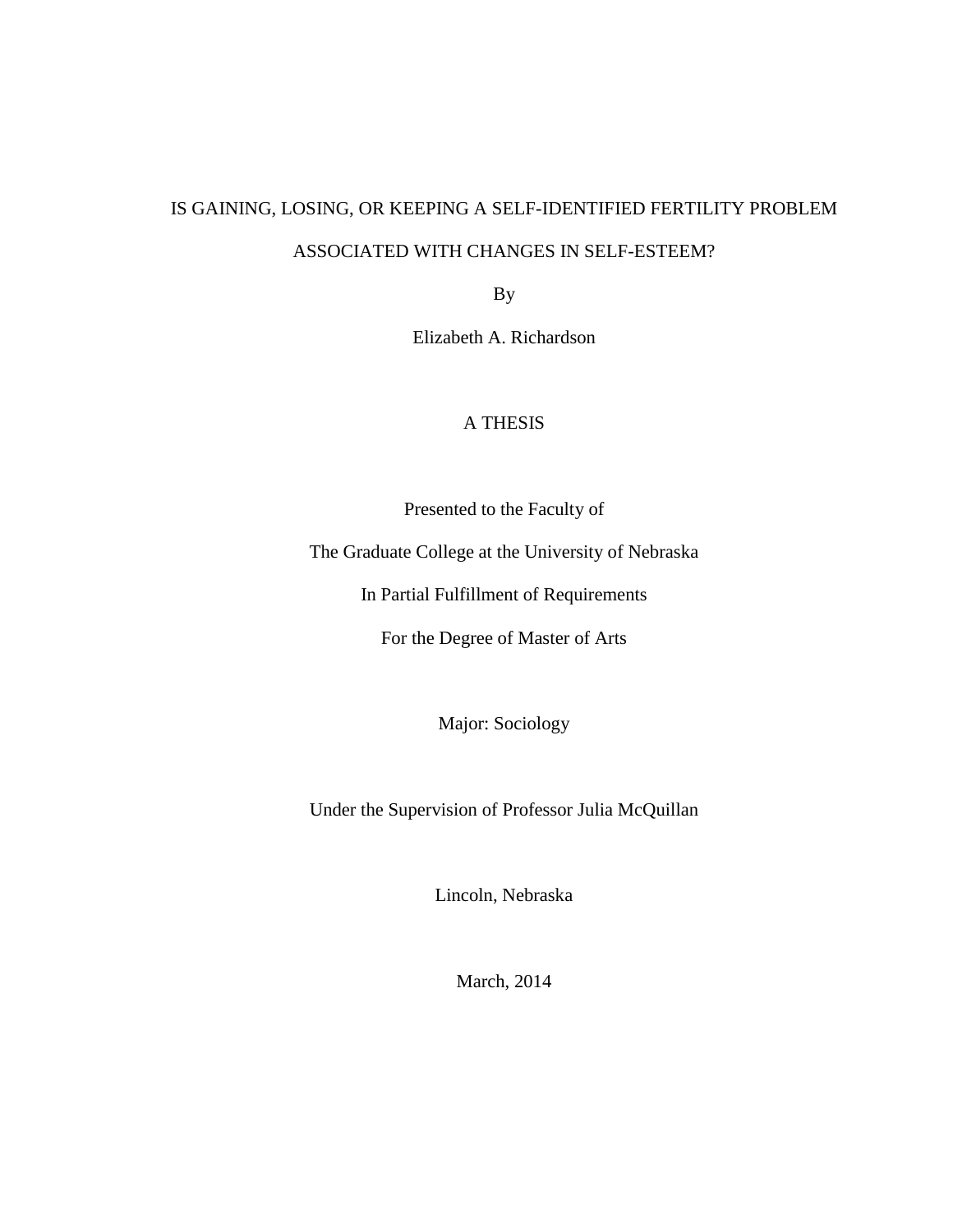## IS GAINING, LOSING, OR KEEPING A SELF-IDENTIFIED FERTILITY PROBLEM

### ASSOCIATED WITH CHANGES IN SELF-ESTEEM?

By

Elizabeth A. Richardson

### A THESIS

Presented to the Faculty of

The Graduate College at the University of Nebraska

In Partial Fulfillment of Requirements

For the Degree of Master of Arts

Major: Sociology

Under the Supervision of Professor Julia McQuillan

Lincoln, Nebraska

March, 2014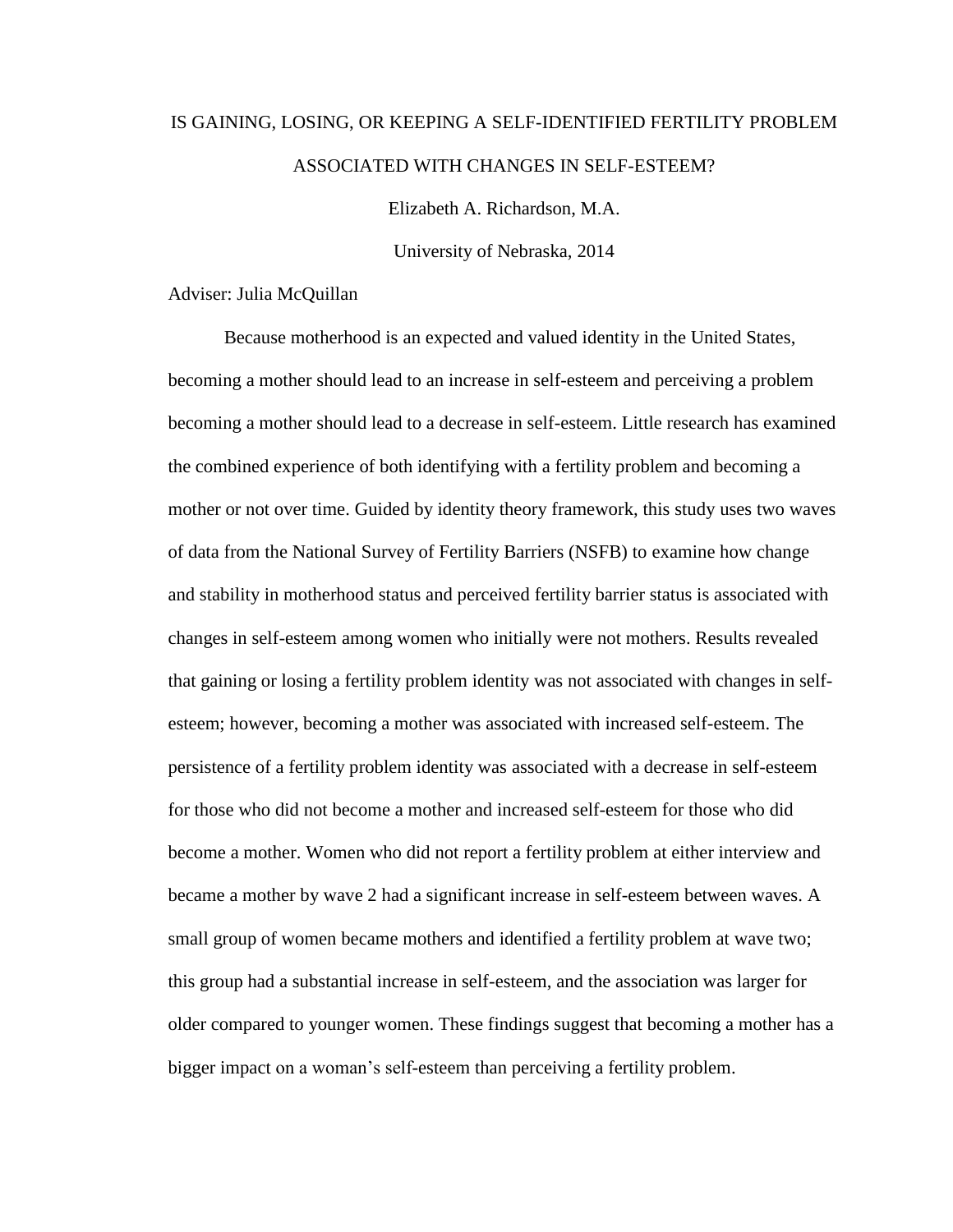## IS GAINING, LOSING, OR KEEPING A SELF-IDENTIFIED FERTILITY PROBLEM ASSOCIATED WITH CHANGES IN SELF-ESTEEM?

Elizabeth A. Richardson, M.A.

University of Nebraska, 2014

Adviser: Julia McQuillan

Because motherhood is an expected and valued identity in the United States, becoming a mother should lead to an increase in self-esteem and perceiving a problem becoming a mother should lead to a decrease in self-esteem. Little research has examined the combined experience of both identifying with a fertility problem and becoming a mother or not over time. Guided by identity theory framework, this study uses two waves of data from the National Survey of Fertility Barriers (NSFB) to examine how change and stability in motherhood status and perceived fertility barrier status is associated with changes in self-esteem among women who initially were not mothers. Results revealed that gaining or losing a fertility problem identity was not associated with changes in selfesteem; however, becoming a mother was associated with increased self-esteem. The persistence of a fertility problem identity was associated with a decrease in self-esteem for those who did not become a mother and increased self-esteem for those who did become a mother. Women who did not report a fertility problem at either interview and became a mother by wave 2 had a significant increase in self-esteem between waves. A small group of women became mothers and identified a fertility problem at wave two; this group had a substantial increase in self-esteem, and the association was larger for older compared to younger women. These findings suggest that becoming a mother has a bigger impact on a woman's self-esteem than perceiving a fertility problem.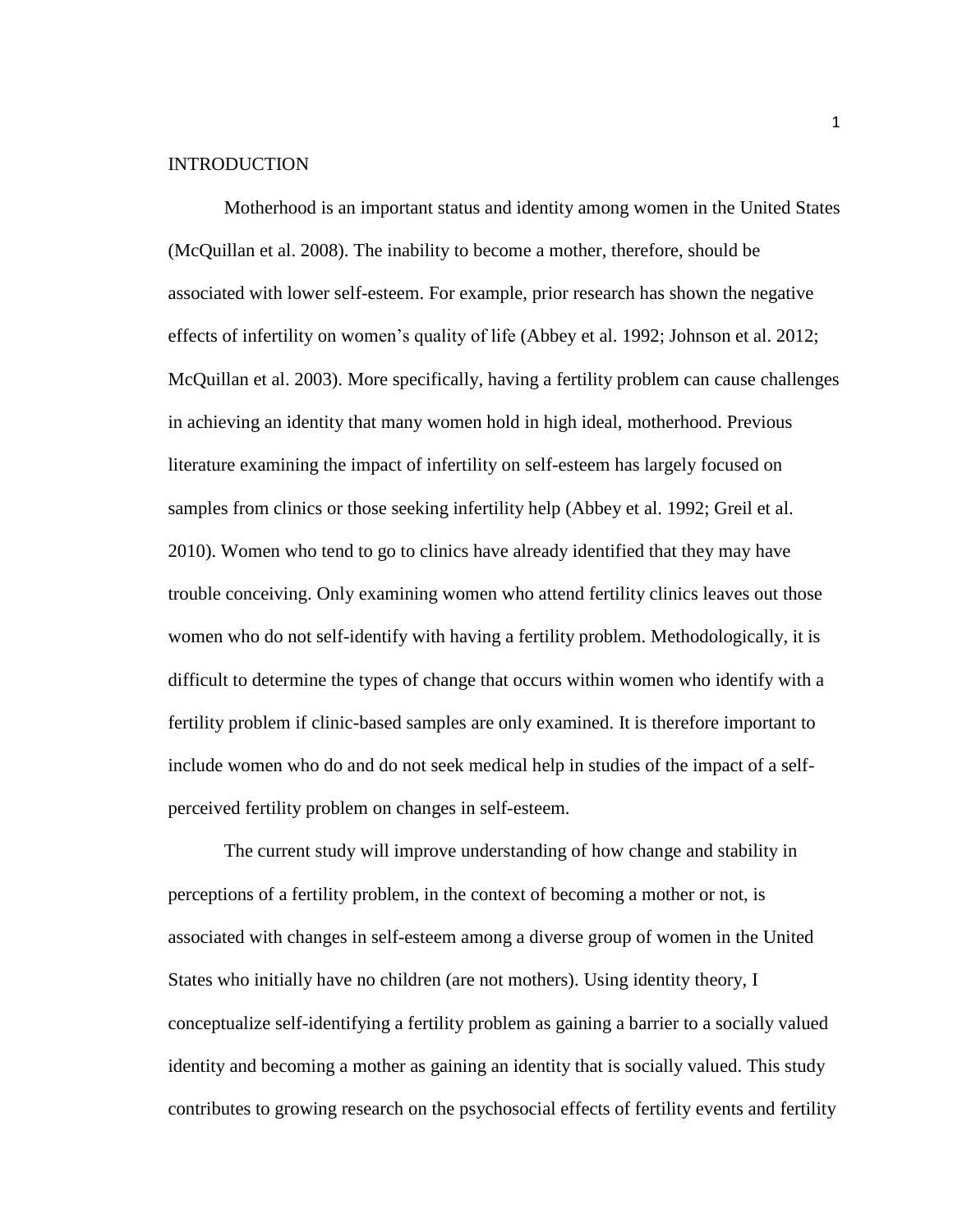#### INTRODUCTION

Motherhood is an important status and identity among women in the United States (McQuillan et al. 2008). The inability to become a mother, therefore, should be associated with lower self-esteem. For example, prior research has shown the negative effects of infertility on women's quality of life (Abbey et al. 1992; Johnson et al. 2012; McQuillan et al. 2003). More specifically, having a fertility problem can cause challenges in achieving an identity that many women hold in high ideal, motherhood. Previous literature examining the impact of infertility on self-esteem has largely focused on samples from clinics or those seeking infertility help (Abbey et al. 1992; Greil et al. 2010). Women who tend to go to clinics have already identified that they may have trouble conceiving. Only examining women who attend fertility clinics leaves out those women who do not self-identify with having a fertility problem. Methodologically, it is difficult to determine the types of change that occurs within women who identify with a fertility problem if clinic-based samples are only examined. It is therefore important to include women who do and do not seek medical help in studies of the impact of a selfperceived fertility problem on changes in self-esteem.

The current study will improve understanding of how change and stability in perceptions of a fertility problem, in the context of becoming a mother or not, is associated with changes in self-esteem among a diverse group of women in the United States who initially have no children (are not mothers). Using identity theory, I conceptualize self-identifying a fertility problem as gaining a barrier to a socially valued identity and becoming a mother as gaining an identity that is socially valued. This study contributes to growing research on the psychosocial effects of fertility events and fertility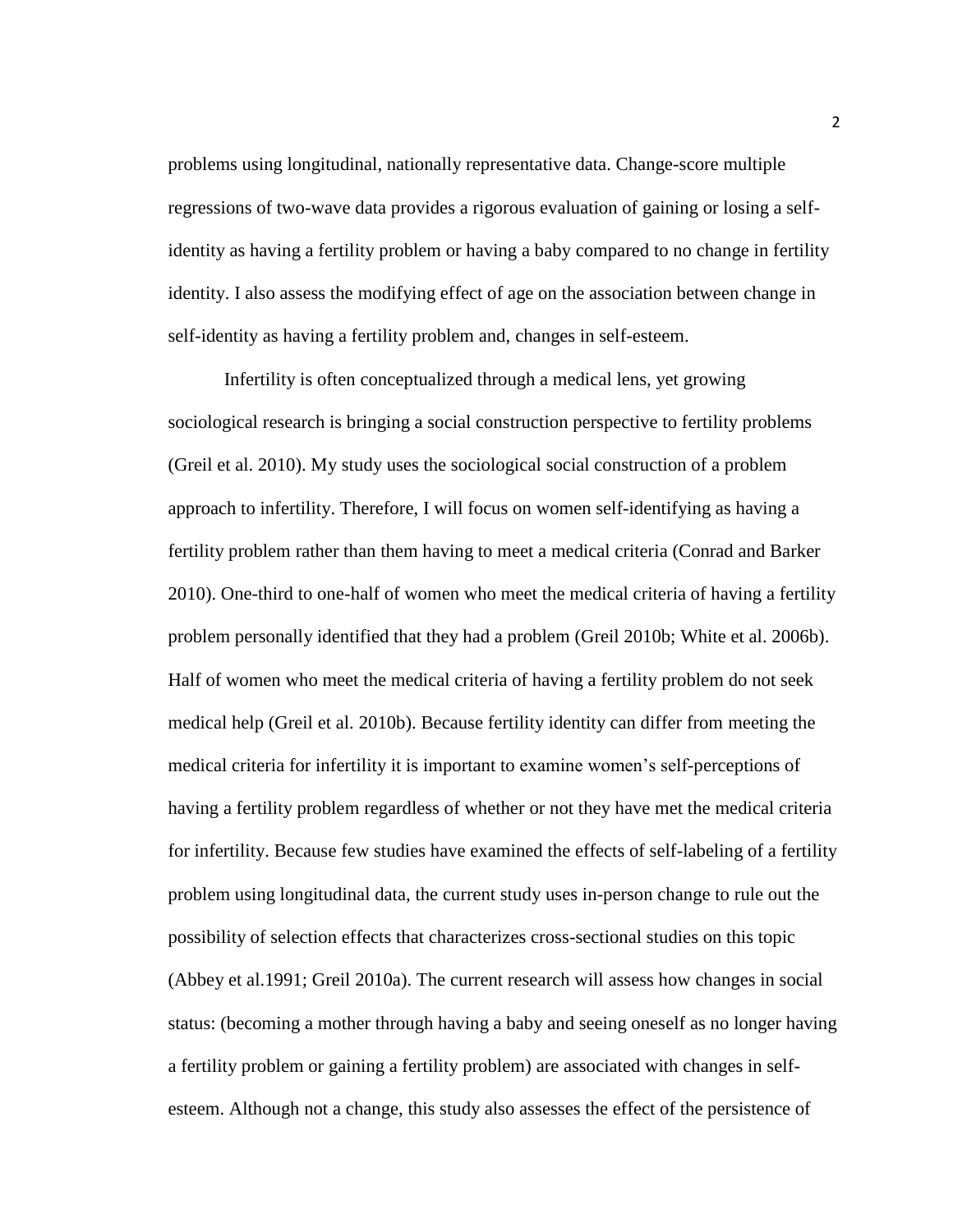problems using longitudinal, nationally representative data. Change-score multiple regressions of two-wave data provides a rigorous evaluation of gaining or losing a selfidentity as having a fertility problem or having a baby compared to no change in fertility identity. I also assess the modifying effect of age on the association between change in self-identity as having a fertility problem and, changes in self-esteem.

Infertility is often conceptualized through a medical lens, yet growing sociological research is bringing a social construction perspective to fertility problems (Greil et al. 2010). My study uses the sociological social construction of a problem approach to infertility. Therefore, I will focus on women self-identifying as having a fertility problem rather than them having to meet a medical criteria (Conrad and Barker 2010). One-third to one-half of women who meet the medical criteria of having a fertility problem personally identified that they had a problem (Greil 2010b; White et al. 2006b). Half of women who meet the medical criteria of having a fertility problem do not seek medical help (Greil et al. 2010b). Because fertility identity can differ from meeting the medical criteria for infertility it is important to examine women's self-perceptions of having a fertility problem regardless of whether or not they have met the medical criteria for infertility. Because few studies have examined the effects of self-labeling of a fertility problem using longitudinal data, the current study uses in-person change to rule out the possibility of selection effects that characterizes cross-sectional studies on this topic (Abbey et al.1991; Greil 2010a). The current research will assess how changes in social status: (becoming a mother through having a baby and seeing oneself as no longer having a fertility problem or gaining a fertility problem) are associated with changes in selfesteem. Although not a change, this study also assesses the effect of the persistence of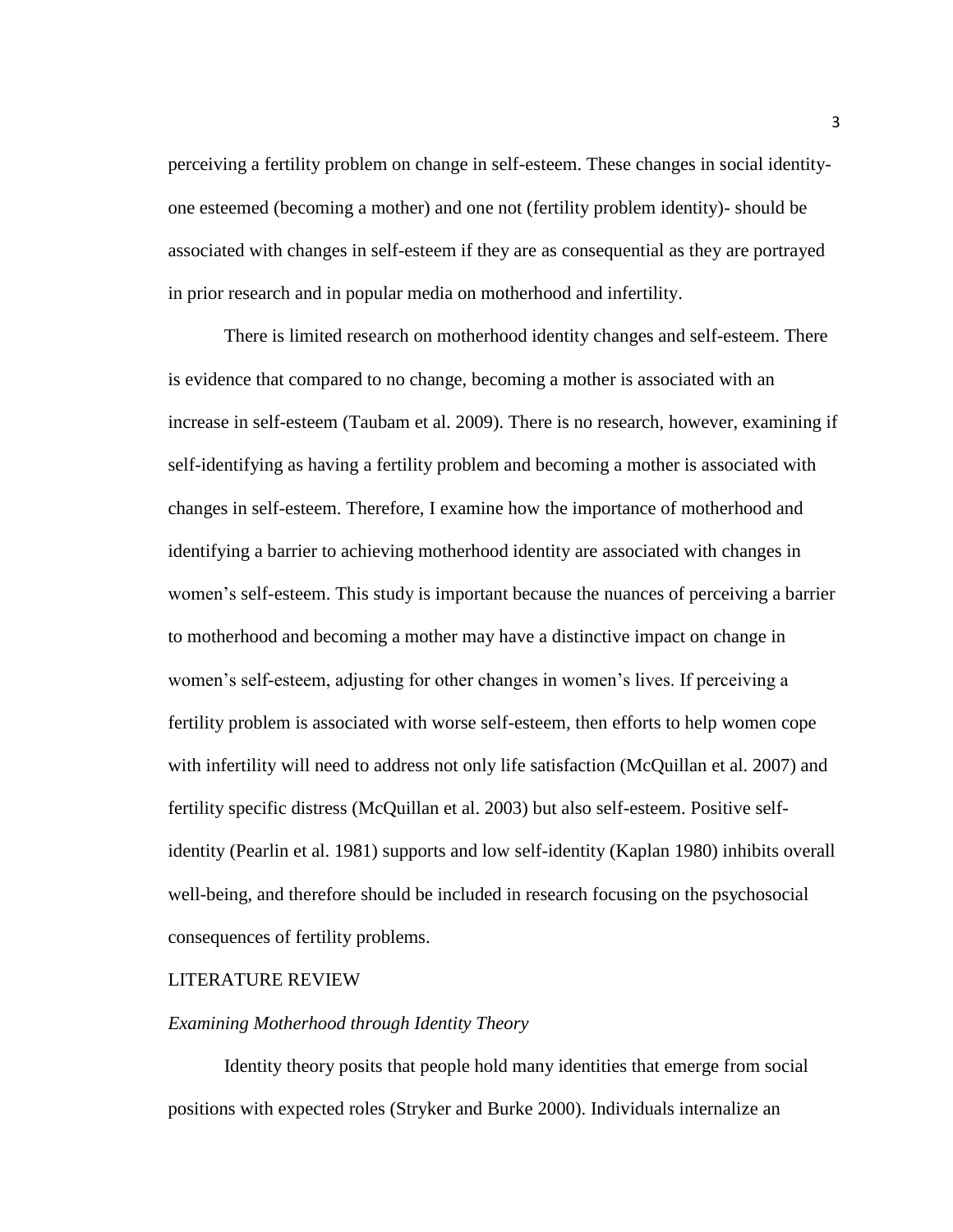perceiving a fertility problem on change in self-esteem. These changes in social identityone esteemed (becoming a mother) and one not (fertility problem identity)- should be associated with changes in self-esteem if they are as consequential as they are portrayed in prior research and in popular media on motherhood and infertility.

There is limited research on motherhood identity changes and self-esteem. There is evidence that compared to no change, becoming a mother is associated with an increase in self-esteem (Taubam et al. 2009). There is no research, however, examining if self-identifying as having a fertility problem and becoming a mother is associated with changes in self-esteem. Therefore, I examine how the importance of motherhood and identifying a barrier to achieving motherhood identity are associated with changes in women's self-esteem. This study is important because the nuances of perceiving a barrier to motherhood and becoming a mother may have a distinctive impact on change in women's self-esteem, adjusting for other changes in women's lives. If perceiving a fertility problem is associated with worse self-esteem, then efforts to help women cope with infertility will need to address not only life satisfaction (McQuillan et al. 2007) and fertility specific distress (McQuillan et al. 2003) but also self-esteem. Positive selfidentity (Pearlin et al. 1981) supports and low self-identity (Kaplan 1980) inhibits overall well-being, and therefore should be included in research focusing on the psychosocial consequences of fertility problems.

#### LITERATURE REVIEW

#### *Examining Motherhood through Identity Theory*

Identity theory posits that people hold many identities that emerge from social positions with expected roles (Stryker and Burke 2000). Individuals internalize an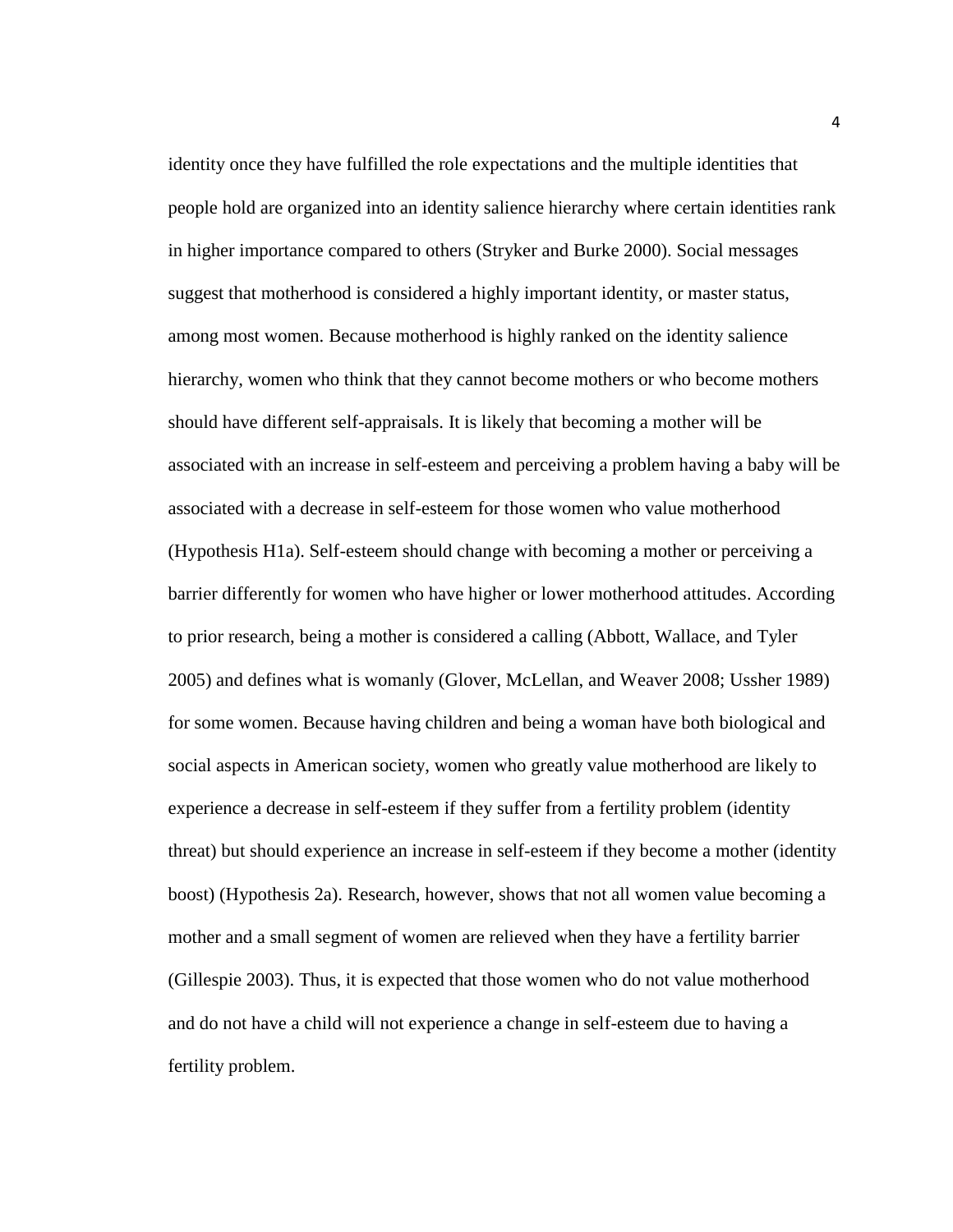identity once they have fulfilled the role expectations and the multiple identities that people hold are organized into an identity salience hierarchy where certain identities rank in higher importance compared to others (Stryker and Burke 2000). Social messages suggest that motherhood is considered a highly important identity, or master status, among most women. Because motherhood is highly ranked on the identity salience hierarchy, women who think that they cannot become mothers or who become mothers should have different self-appraisals. It is likely that becoming a mother will be associated with an increase in self-esteem and perceiving a problem having a baby will be associated with a decrease in self-esteem for those women who value motherhood (Hypothesis H1a). Self-esteem should change with becoming a mother or perceiving a barrier differently for women who have higher or lower motherhood attitudes. According to prior research, being a mother is considered a calling (Abbott, Wallace, and Tyler 2005) and defines what is womanly (Glover, McLellan, and Weaver 2008; Ussher 1989) for some women. Because having children and being a woman have both biological and social aspects in American society, women who greatly value motherhood are likely to experience a decrease in self-esteem if they suffer from a fertility problem (identity threat) but should experience an increase in self-esteem if they become a mother (identity boost) (Hypothesis 2a). Research, however, shows that not all women value becoming a mother and a small segment of women are relieved when they have a fertility barrier (Gillespie 2003). Thus, it is expected that those women who do not value motherhood and do not have a child will not experience a change in self-esteem due to having a fertility problem.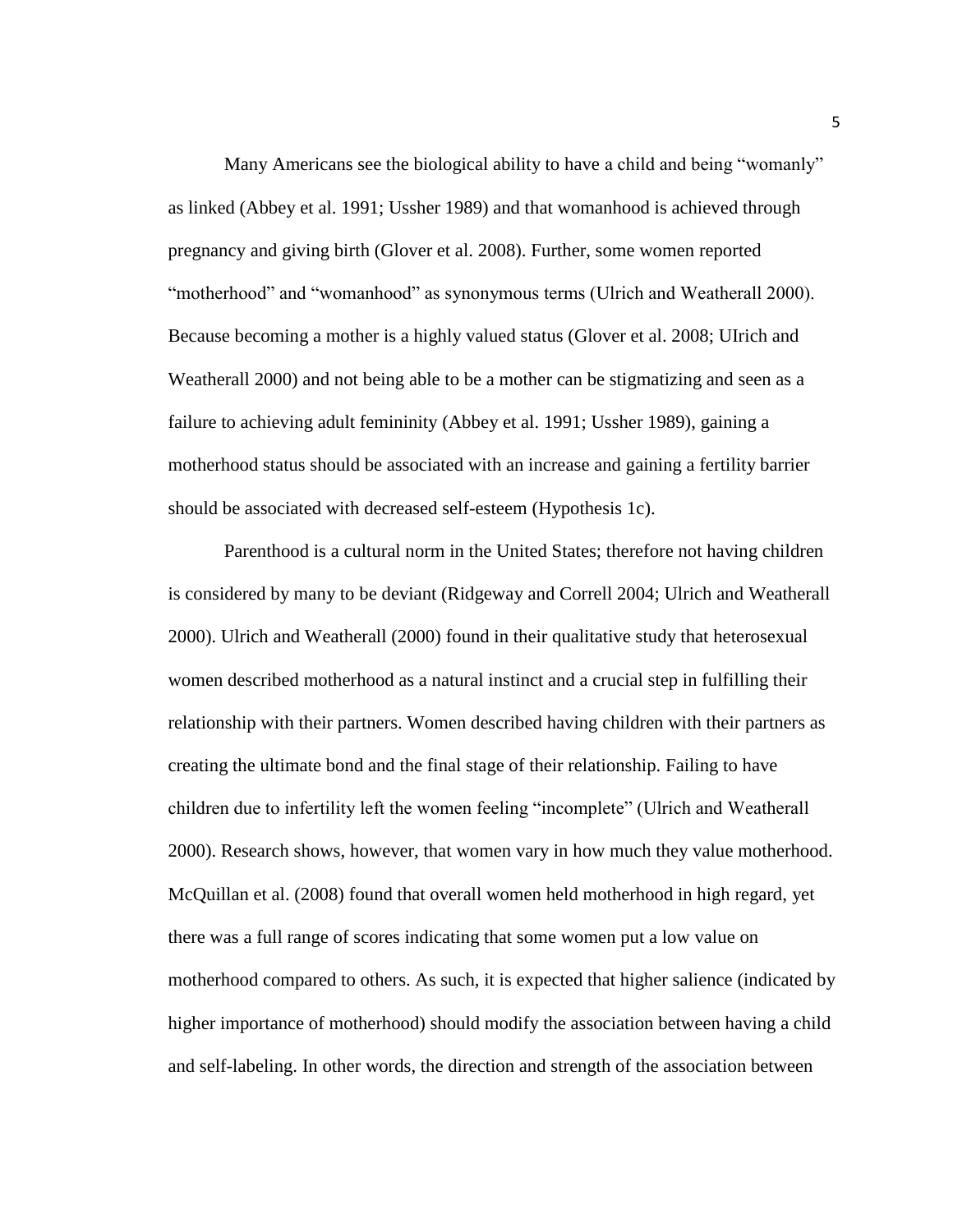Many Americans see the biological ability to have a child and being "womanly" as linked (Abbey et al. 1991; Ussher 1989) and that womanhood is achieved through pregnancy and giving birth (Glover et al. 2008). Further, some women reported "motherhood" and "womanhood" as synonymous terms (Ulrich and Weatherall 2000). Because becoming a mother is a highly valued status (Glover et al. 2008; UIrich and Weatherall 2000) and not being able to be a mother can be stigmatizing and seen as a failure to achieving adult femininity (Abbey et al. 1991; Ussher 1989), gaining a motherhood status should be associated with an increase and gaining a fertility barrier should be associated with decreased self-esteem (Hypothesis 1c).

Parenthood is a cultural norm in the United States; therefore not having children is considered by many to be deviant (Ridgeway and Correll 2004; Ulrich and Weatherall 2000). Ulrich and Weatherall (2000) found in their qualitative study that heterosexual women described motherhood as a natural instinct and a crucial step in fulfilling their relationship with their partners. Women described having children with their partners as creating the ultimate bond and the final stage of their relationship. Failing to have children due to infertility left the women feeling "incomplete" (Ulrich and Weatherall 2000). Research shows, however, that women vary in how much they value motherhood. McQuillan et al. (2008) found that overall women held motherhood in high regard, yet there was a full range of scores indicating that some women put a low value on motherhood compared to others. As such, it is expected that higher salience (indicated by higher importance of motherhood) should modify the association between having a child and self-labeling. In other words, the direction and strength of the association between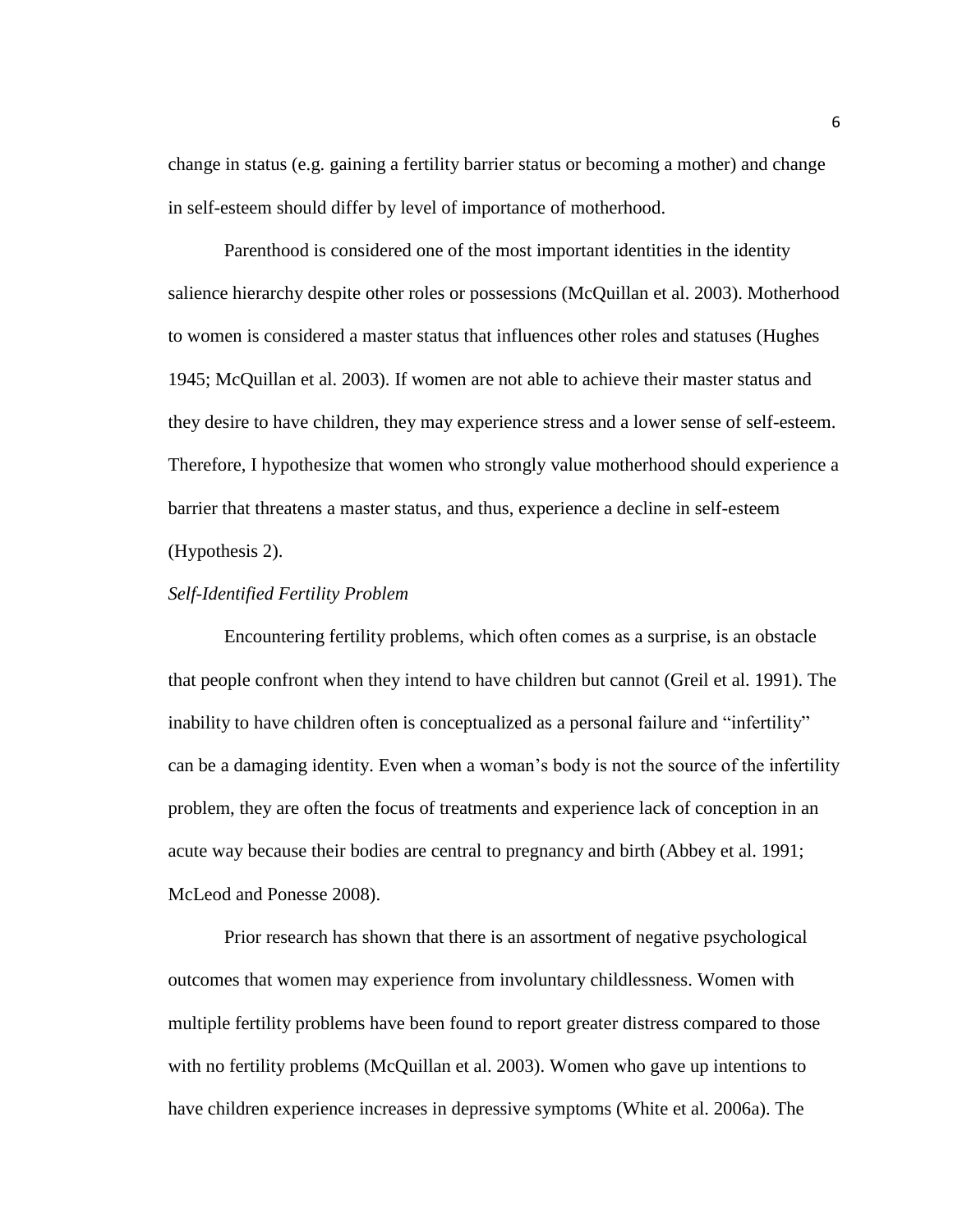change in status (e.g. gaining a fertility barrier status or becoming a mother) and change in self-esteem should differ by level of importance of motherhood.

Parenthood is considered one of the most important identities in the identity salience hierarchy despite other roles or possessions (McQuillan et al. 2003). Motherhood to women is considered a master status that influences other roles and statuses (Hughes 1945; McQuillan et al. 2003). If women are not able to achieve their master status and they desire to have children, they may experience stress and a lower sense of self-esteem. Therefore, I hypothesize that women who strongly value motherhood should experience a barrier that threatens a master status, and thus, experience a decline in self-esteem (Hypothesis 2).

#### *Self-Identified Fertility Problem*

Encountering fertility problems, which often comes as a surprise, is an obstacle that people confront when they intend to have children but cannot (Greil et al. 1991). The inability to have children often is conceptualized as a personal failure and "infertility" can be a damaging identity. Even when a woman's body is not the source of the infertility problem, they are often the focus of treatments and experience lack of conception in an acute way because their bodies are central to pregnancy and birth (Abbey et al. 1991; McLeod and Ponesse 2008).

Prior research has shown that there is an assortment of negative psychological outcomes that women may experience from involuntary childlessness. Women with multiple fertility problems have been found to report greater distress compared to those with no fertility problems (McQuillan et al. 2003). Women who gave up intentions to have children experience increases in depressive symptoms (White et al. 2006a). The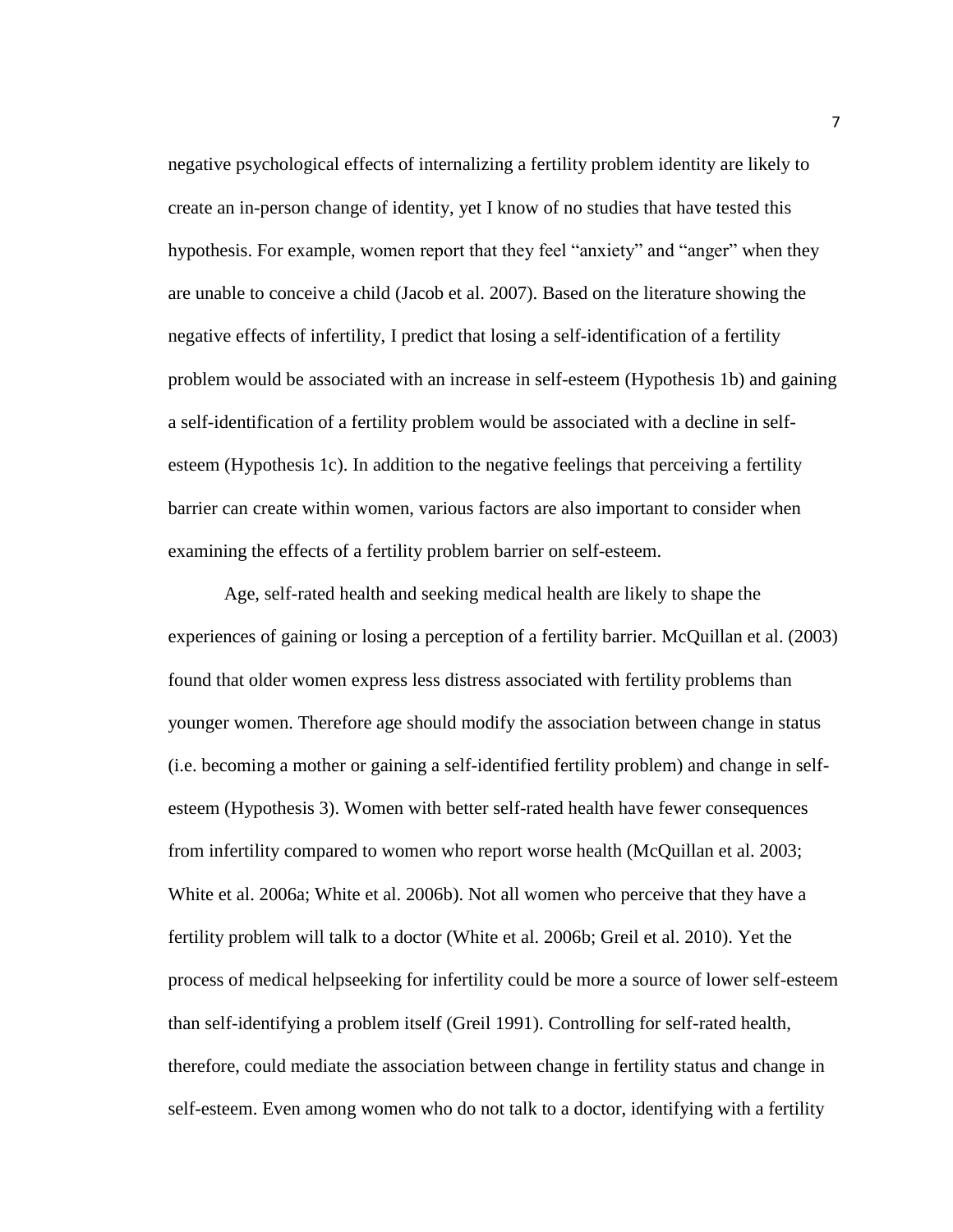negative psychological effects of internalizing a fertility problem identity are likely to create an in-person change of identity, yet I know of no studies that have tested this hypothesis. For example, women report that they feel "anxiety" and "anger" when they are unable to conceive a child (Jacob et al. 2007). Based on the literature showing the negative effects of infertility, I predict that losing a self-identification of a fertility problem would be associated with an increase in self-esteem (Hypothesis 1b) and gaining a self-identification of a fertility problem would be associated with a decline in selfesteem (Hypothesis 1c). In addition to the negative feelings that perceiving a fertility barrier can create within women, various factors are also important to consider when examining the effects of a fertility problem barrier on self-esteem.

Age, self-rated health and seeking medical health are likely to shape the experiences of gaining or losing a perception of a fertility barrier. McQuillan et al. (2003) found that older women express less distress associated with fertility problems than younger women. Therefore age should modify the association between change in status (i.e. becoming a mother or gaining a self-identified fertility problem) and change in selfesteem (Hypothesis 3). Women with better self-rated health have fewer consequences from infertility compared to women who report worse health (McQuillan et al. 2003; White et al. 2006a; White et al. 2006b). Not all women who perceive that they have a fertility problem will talk to a doctor (White et al. 2006b; Greil et al. 2010). Yet the process of medical helpseeking for infertility could be more a source of lower self-esteem than self-identifying a problem itself (Greil 1991). Controlling for self-rated health, therefore, could mediate the association between change in fertility status and change in self-esteem. Even among women who do not talk to a doctor, identifying with a fertility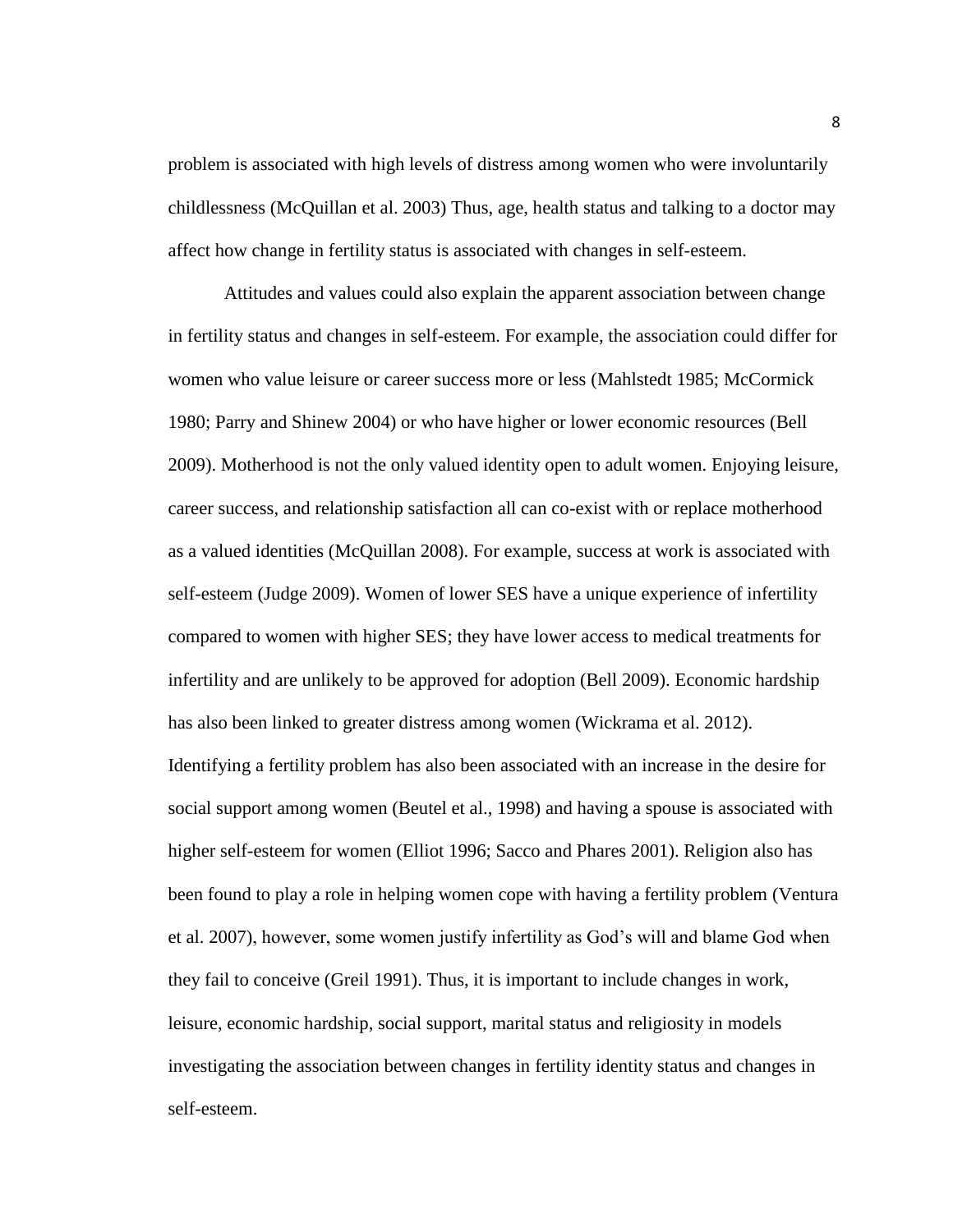problem is associated with high levels of distress among women who were involuntarily childlessness (McQuillan et al. 2003) Thus, age, health status and talking to a doctor may affect how change in fertility status is associated with changes in self-esteem.

Attitudes and values could also explain the apparent association between change in fertility status and changes in self-esteem. For example, the association could differ for women who value leisure or career success more or less (Mahlstedt 1985; McCormick 1980; Parry and Shinew 2004) or who have higher or lower economic resources (Bell 2009). Motherhood is not the only valued identity open to adult women. Enjoying leisure, career success, and relationship satisfaction all can co-exist with or replace motherhood as a valued identities (McQuillan 2008). For example, success at work is associated with self-esteem (Judge 2009). Women of lower SES have a unique experience of infertility compared to women with higher SES; they have lower access to medical treatments for infertility and are unlikely to be approved for adoption (Bell 2009). Economic hardship has also been linked to greater distress among women (Wickrama et al. 2012). Identifying a fertility problem has also been associated with an increase in the desire for social support among women (Beutel et al., 1998) and having a spouse is associated with higher self-esteem for women (Elliot 1996; Sacco and Phares 2001). Religion also has been found to play a role in helping women cope with having a fertility problem (Ventura et al. 2007), however, some women justify infertility as God's will and blame God when they fail to conceive (Greil 1991). Thus, it is important to include changes in work, leisure, economic hardship, social support, marital status and religiosity in models investigating the association between changes in fertility identity status and changes in self-esteem.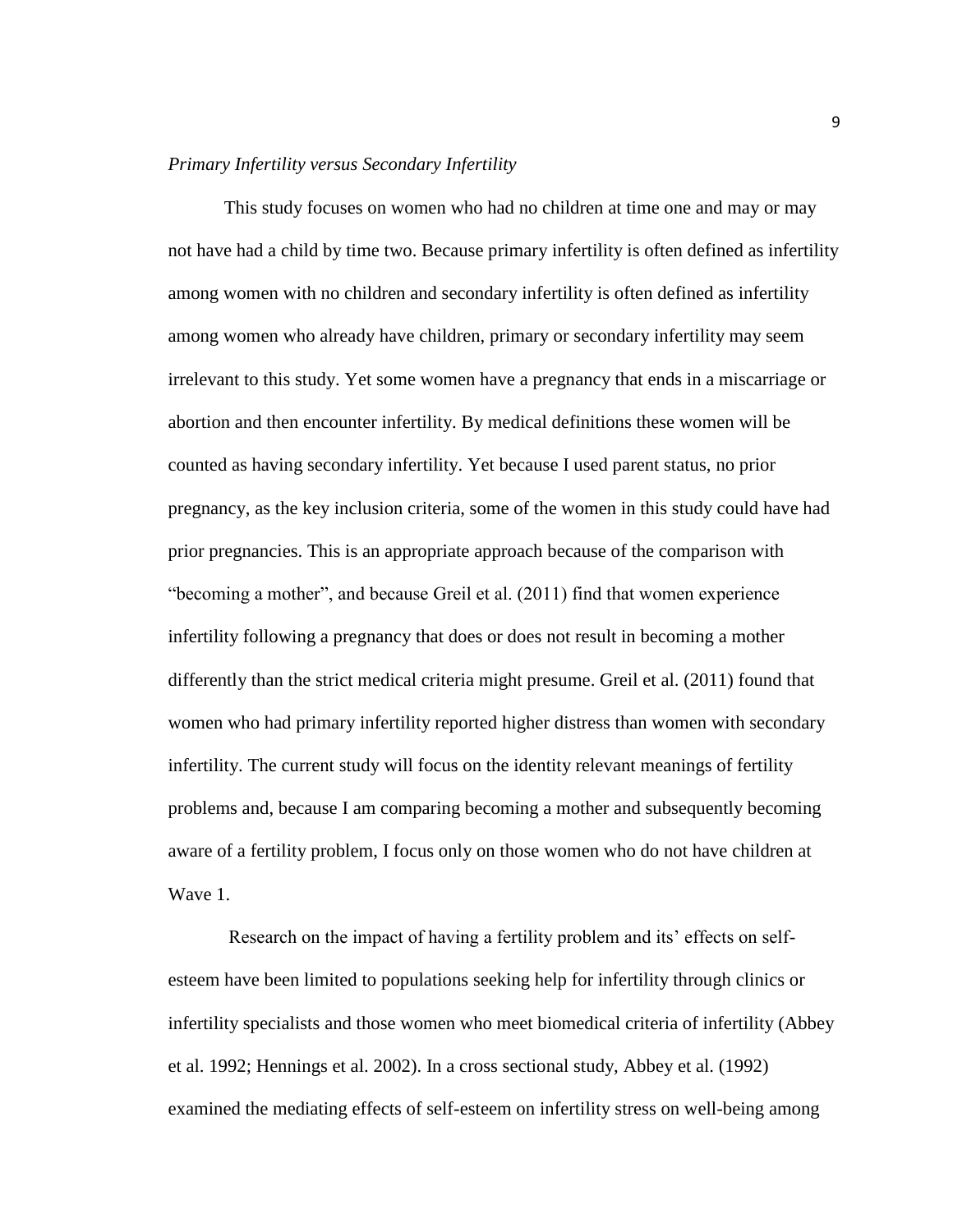#### *Primary Infertility versus Secondary Infertility*

This study focuses on women who had no children at time one and may or may not have had a child by time two. Because primary infertility is often defined as infertility among women with no children and secondary infertility is often defined as infertility among women who already have children, primary or secondary infertility may seem irrelevant to this study. Yet some women have a pregnancy that ends in a miscarriage or abortion and then encounter infertility. By medical definitions these women will be counted as having secondary infertility. Yet because I used parent status, no prior pregnancy, as the key inclusion criteria, some of the women in this study could have had prior pregnancies. This is an appropriate approach because of the comparison with "becoming a mother", and because Greil et al. (2011) find that women experience infertility following a pregnancy that does or does not result in becoming a mother differently than the strict medical criteria might presume. Greil et al. (2011) found that women who had primary infertility reported higher distress than women with secondary infertility. The current study will focus on the identity relevant meanings of fertility problems and, because I am comparing becoming a mother and subsequently becoming aware of a fertility problem, I focus only on those women who do not have children at Wave 1.

Research on the impact of having a fertility problem and its' effects on selfesteem have been limited to populations seeking help for infertility through clinics or infertility specialists and those women who meet biomedical criteria of infertility (Abbey et al. 1992; Hennings et al. 2002). In a cross sectional study, Abbey et al. (1992) examined the mediating effects of self-esteem on infertility stress on well-being among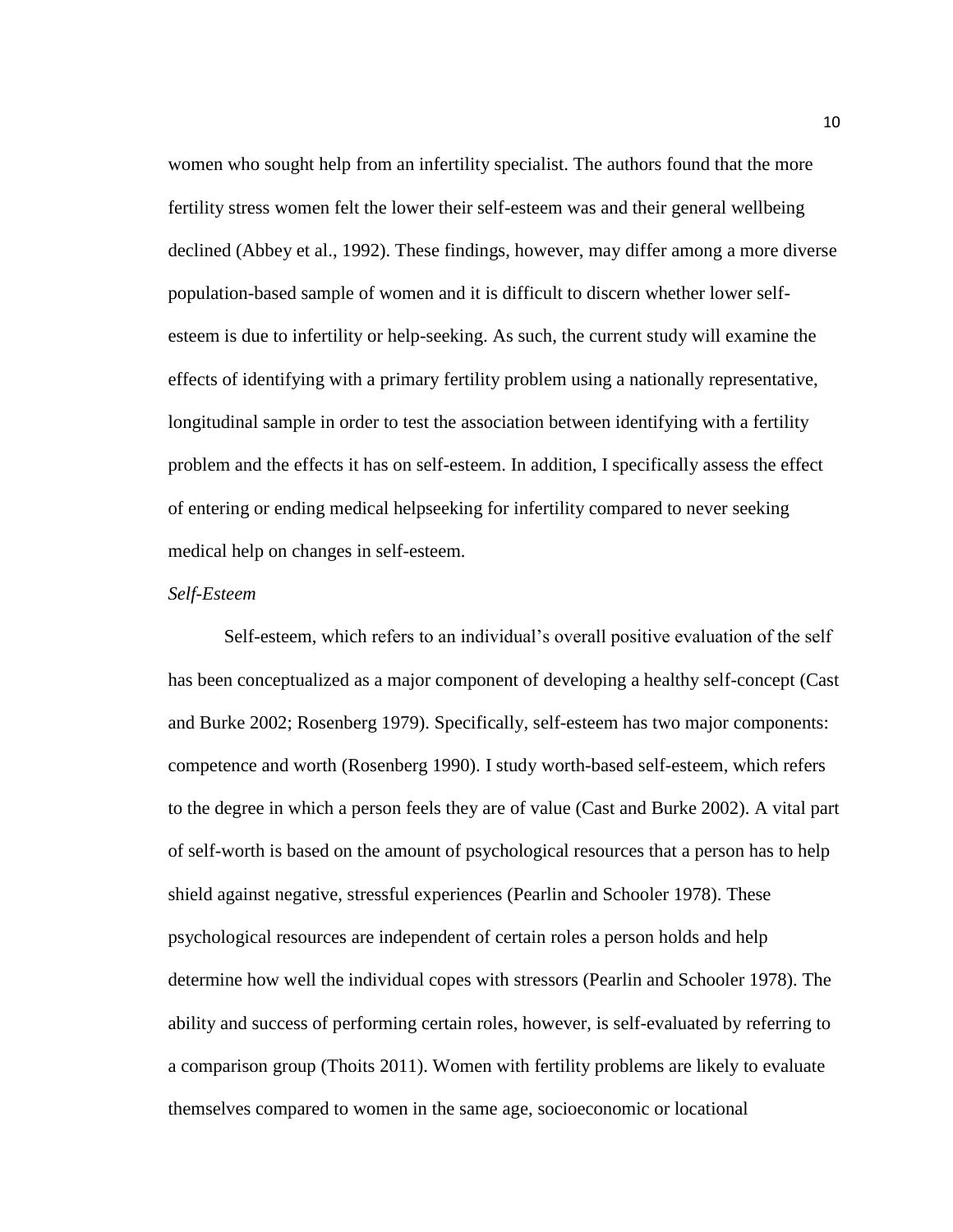women who sought help from an infertility specialist. The authors found that the more fertility stress women felt the lower their self-esteem was and their general wellbeing declined (Abbey et al., 1992). These findings, however, may differ among a more diverse population-based sample of women and it is difficult to discern whether lower selfesteem is due to infertility or help-seeking. As such, the current study will examine the effects of identifying with a primary fertility problem using a nationally representative, longitudinal sample in order to test the association between identifying with a fertility problem and the effects it has on self-esteem. In addition, I specifically assess the effect of entering or ending medical helpseeking for infertility compared to never seeking medical help on changes in self-esteem.

#### *Self-Esteem*

Self-esteem, which refers to an individual's overall positive evaluation of the self has been conceptualized as a major component of developing a healthy self-concept (Cast and Burke 2002; Rosenberg 1979). Specifically, self-esteem has two major components: competence and worth (Rosenberg 1990). I study worth-based self-esteem, which refers to the degree in which a person feels they are of value (Cast and Burke 2002). A vital part of self-worth is based on the amount of psychological resources that a person has to help shield against negative, stressful experiences (Pearlin and Schooler 1978). These psychological resources are independent of certain roles a person holds and help determine how well the individual copes with stressors (Pearlin and Schooler 1978). The ability and success of performing certain roles, however, is self-evaluated by referring to a comparison group (Thoits 2011). Women with fertility problems are likely to evaluate themselves compared to women in the same age, socioeconomic or locational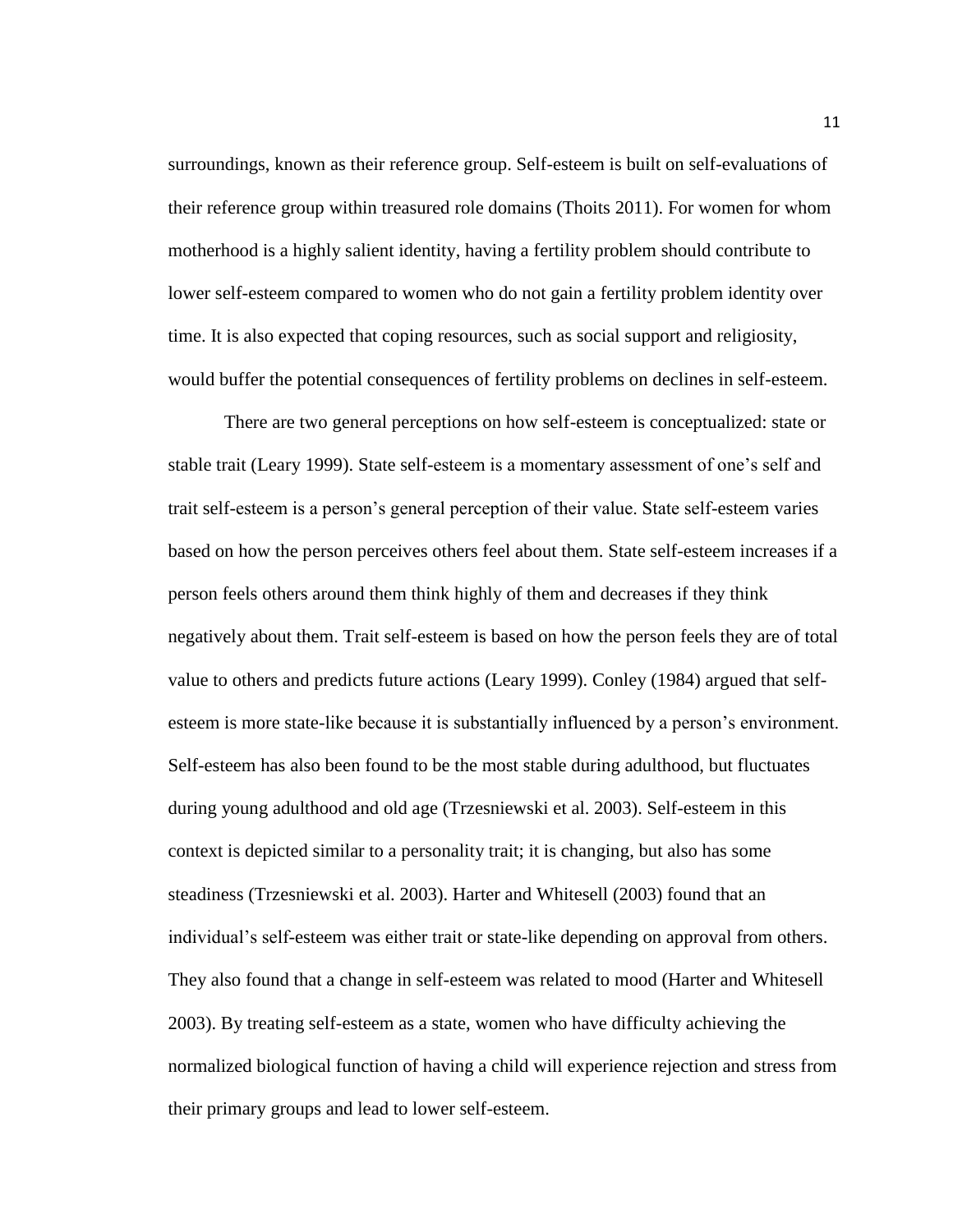surroundings, known as their reference group. Self-esteem is built on self-evaluations of their reference group within treasured role domains (Thoits 2011). For women for whom motherhood is a highly salient identity, having a fertility problem should contribute to lower self-esteem compared to women who do not gain a fertility problem identity over time. It is also expected that coping resources, such as social support and religiosity, would buffer the potential consequences of fertility problems on declines in self-esteem.

There are two general perceptions on how self-esteem is conceptualized: state or stable trait (Leary 1999). State self-esteem is a momentary assessment of one's self and trait self-esteem is a person's general perception of their value. State self-esteem varies based on how the person perceives others feel about them. State self-esteem increases if a person feels others around them think highly of them and decreases if they think negatively about them. Trait self-esteem is based on how the person feels they are of total value to others and predicts future actions (Leary 1999). Conley (1984) argued that selfesteem is more state-like because it is substantially influenced by a person's environment. Self-esteem has also been found to be the most stable during adulthood, but fluctuates during young adulthood and old age (Trzesniewski et al. 2003). Self-esteem in this context is depicted similar to a personality trait; it is changing, but also has some steadiness (Trzesniewski et al. 2003). Harter and Whitesell (2003) found that an individual's self-esteem was either trait or state-like depending on approval from others. They also found that a change in self-esteem was related to mood (Harter and Whitesell 2003). By treating self-esteem as a state, women who have difficulty achieving the normalized biological function of having a child will experience rejection and stress from their primary groups and lead to lower self-esteem.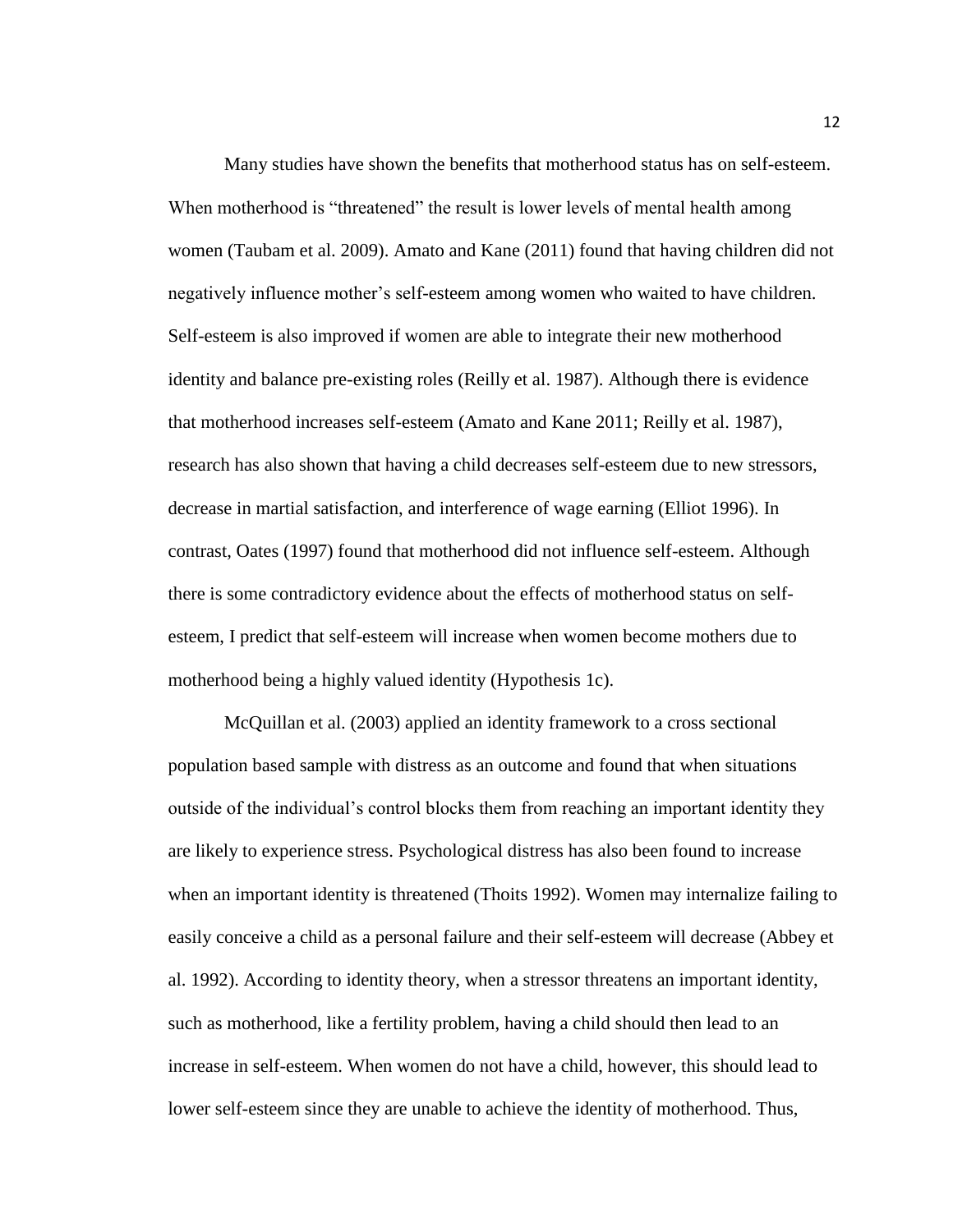Many studies have shown the benefits that motherhood status has on self-esteem. When motherhood is "threatened" the result is lower levels of mental health among women (Taubam et al. 2009). Amato and Kane (2011) found that having children did not negatively influence mother's self-esteem among women who waited to have children. Self-esteem is also improved if women are able to integrate their new motherhood identity and balance pre-existing roles (Reilly et al. 1987). Although there is evidence that motherhood increases self-esteem (Amato and Kane 2011; Reilly et al. 1987), research has also shown that having a child decreases self-esteem due to new stressors, decrease in martial satisfaction, and interference of wage earning (Elliot 1996). In contrast, Oates (1997) found that motherhood did not influence self-esteem. Although there is some contradictory evidence about the effects of motherhood status on selfesteem, I predict that self-esteem will increase when women become mothers due to motherhood being a highly valued identity (Hypothesis 1c).

McQuillan et al. (2003) applied an identity framework to a cross sectional population based sample with distress as an outcome and found that when situations outside of the individual's control blocks them from reaching an important identity they are likely to experience stress. Psychological distress has also been found to increase when an important identity is threatened (Thoits 1992). Women may internalize failing to easily conceive a child as a personal failure and their self-esteem will decrease (Abbey et al. 1992). According to identity theory, when a stressor threatens an important identity, such as motherhood, like a fertility problem, having a child should then lead to an increase in self-esteem. When women do not have a child, however, this should lead to lower self-esteem since they are unable to achieve the identity of motherhood. Thus,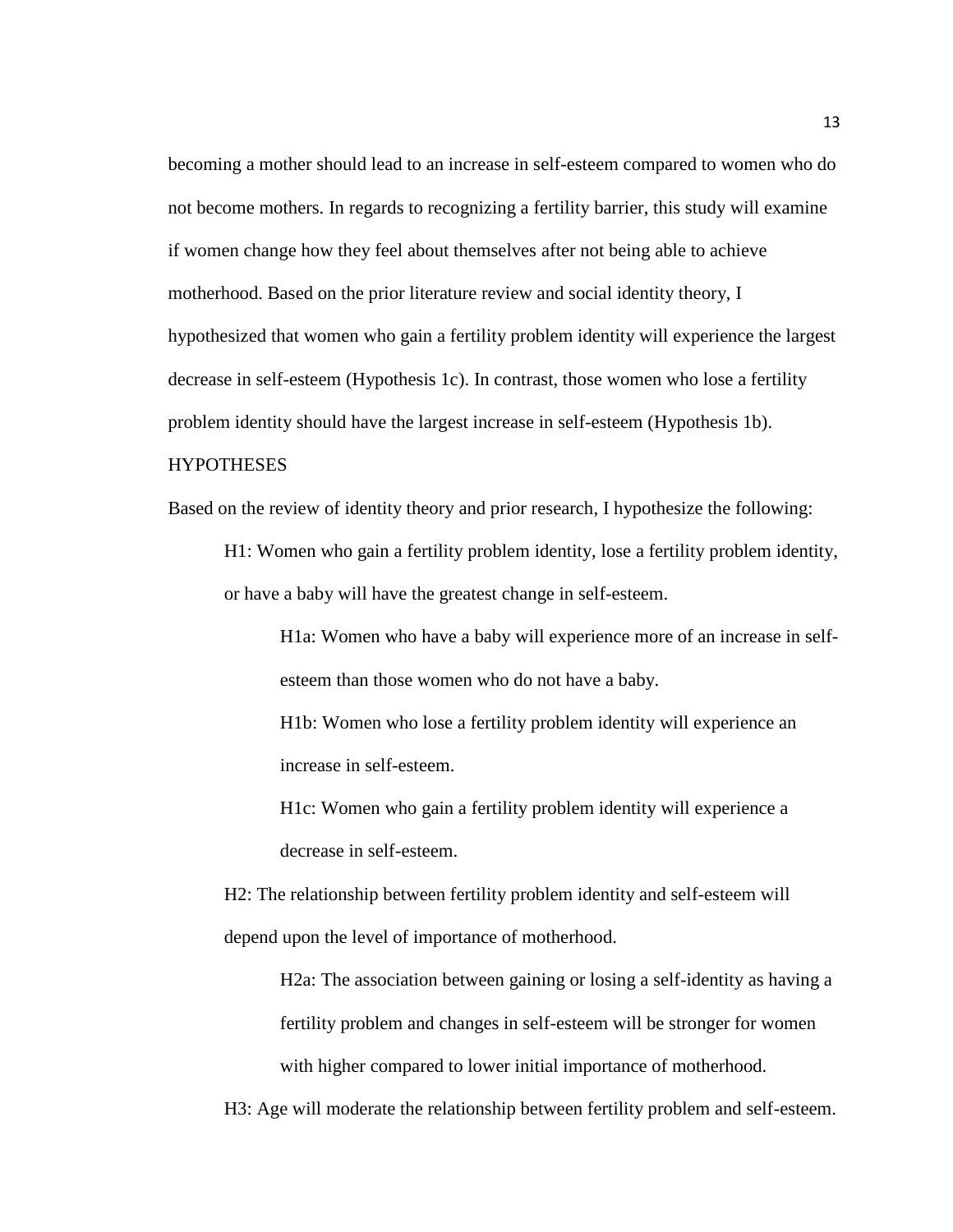becoming a mother should lead to an increase in self-esteem compared to women who do not become mothers. In regards to recognizing a fertility barrier, this study will examine if women change how they feel about themselves after not being able to achieve motherhood. Based on the prior literature review and social identity theory, I hypothesized that women who gain a fertility problem identity will experience the largest decrease in self-esteem (Hypothesis 1c). In contrast, those women who lose a fertility problem identity should have the largest increase in self-esteem (Hypothesis 1b).

#### HYPOTHESES

Based on the review of identity theory and prior research, I hypothesize the following:

H1: Women who gain a fertility problem identity, lose a fertility problem identity, or have a baby will have the greatest change in self-esteem.

H1a: Women who have a baby will experience more of an increase in selfesteem than those women who do not have a baby.

H1b: Women who lose a fertility problem identity will experience an increase in self-esteem.

H1c: Women who gain a fertility problem identity will experience a decrease in self-esteem.

H2: The relationship between fertility problem identity and self-esteem will depend upon the level of importance of motherhood.

H2a: The association between gaining or losing a self-identity as having a fertility problem and changes in self-esteem will be stronger for women with higher compared to lower initial importance of motherhood.

H3: Age will moderate the relationship between fertility problem and self-esteem.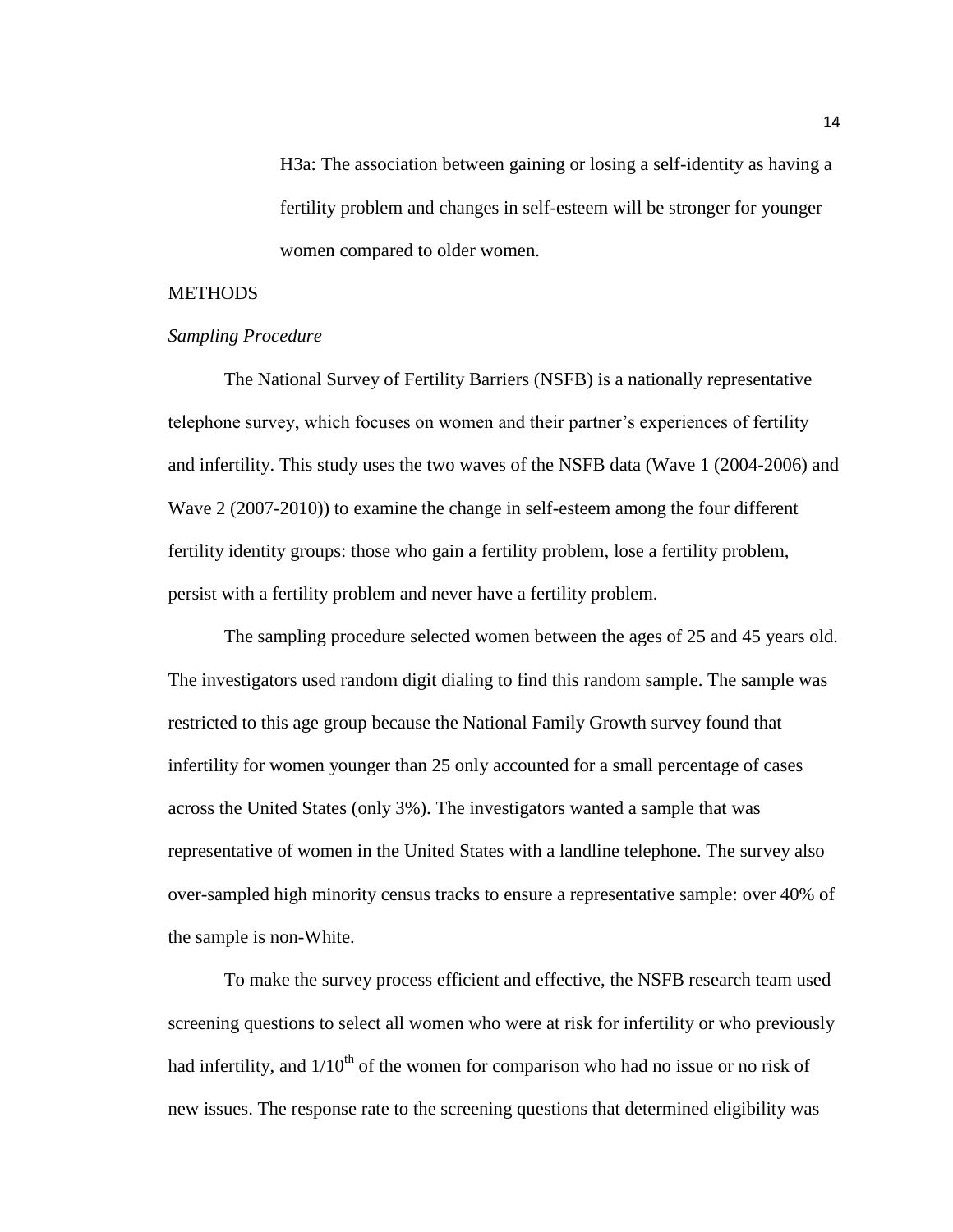H3a: The association between gaining or losing a self-identity as having a fertility problem and changes in self-esteem will be stronger for younger women compared to older women.

#### **METHODS**

#### *Sampling Procedure*

The National Survey of Fertility Barriers (NSFB) is a nationally representative telephone survey, which focuses on women and their partner's experiences of fertility and infertility. This study uses the two waves of the NSFB data (Wave 1 (2004-2006) and Wave 2 (2007-2010)) to examine the change in self-esteem among the four different fertility identity groups: those who gain a fertility problem, lose a fertility problem, persist with a fertility problem and never have a fertility problem.

The sampling procedure selected women between the ages of 25 and 45 years old. The investigators used random digit dialing to find this random sample. The sample was restricted to this age group because the National Family Growth survey found that infertility for women younger than 25 only accounted for a small percentage of cases across the United States (only 3%). The investigators wanted a sample that was representative of women in the United States with a landline telephone. The survey also over-sampled high minority census tracks to ensure a representative sample: over 40% of the sample is non-White.

To make the survey process efficient and effective, the NSFB research team used screening questions to select all women who were at risk for infertility or who previously had infertility, and  $1/10<sup>th</sup>$  of the women for comparison who had no issue or no risk of new issues. The response rate to the screening questions that determined eligibility was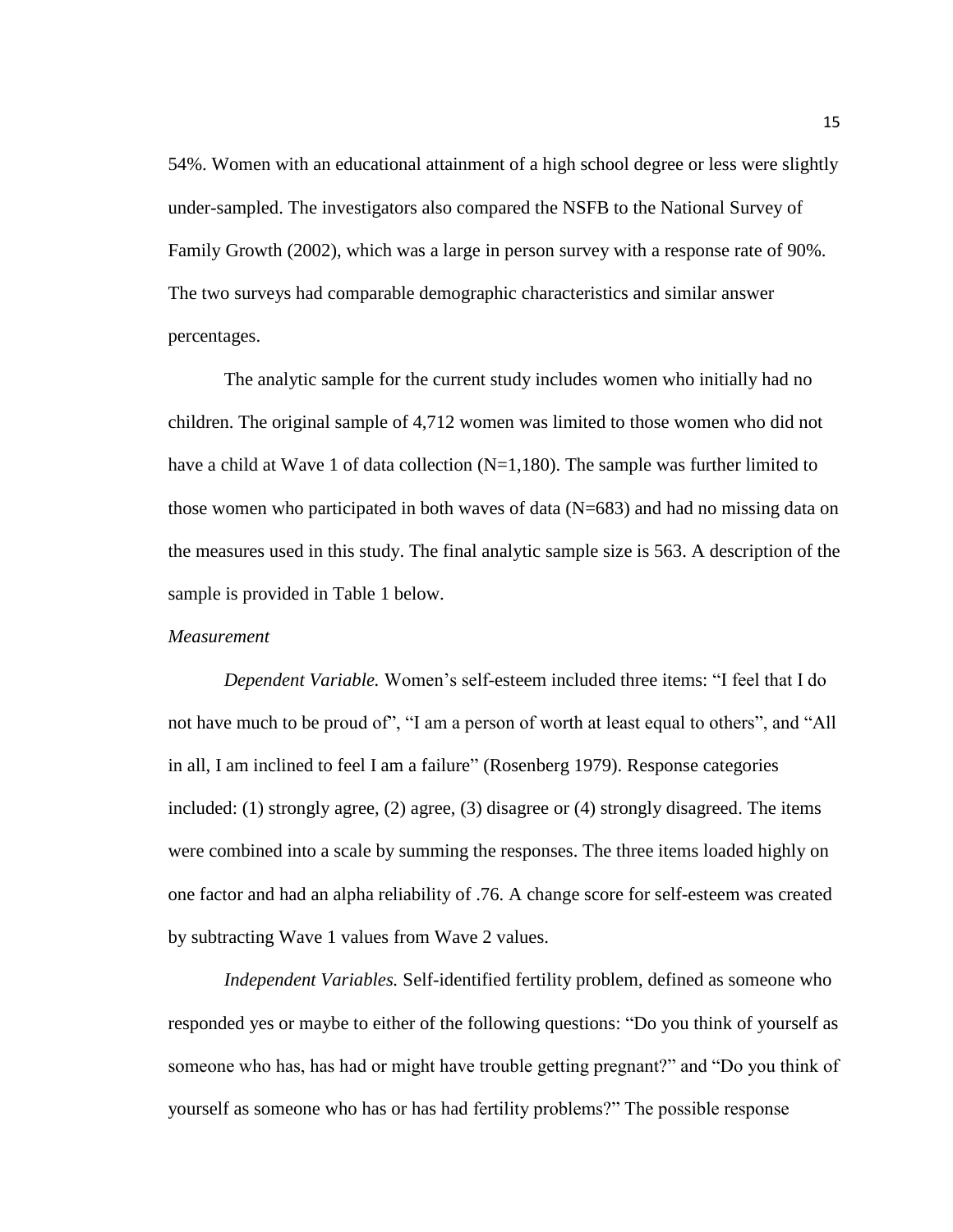54%. Women with an educational attainment of a high school degree or less were slightly under-sampled. The investigators also compared the NSFB to the National Survey of Family Growth (2002), which was a large in person survey with a response rate of 90%. The two surveys had comparable demographic characteristics and similar answer percentages.

The analytic sample for the current study includes women who initially had no children. The original sample of 4,712 women was limited to those women who did not have a child at Wave 1 of data collection (N=1,180). The sample was further limited to those women who participated in both waves of data (N=683) and had no missing data on the measures used in this study. The final analytic sample size is 563. A description of the sample is provided in Table 1 below.

#### *Measurement*

*Dependent Variable.* Women's self-esteem included three items: "I feel that I do not have much to be proud of", "I am a person of worth at least equal to others", and "All in all, I am inclined to feel I am a failure" (Rosenberg 1979). Response categories included: (1) strongly agree, (2) agree, (3) disagree or (4) strongly disagreed. The items were combined into a scale by summing the responses. The three items loaded highly on one factor and had an alpha reliability of .76. A change score for self-esteem was created by subtracting Wave 1 values from Wave 2 values.

*Independent Variables.* Self-identified fertility problem, defined as someone who responded yes or maybe to either of the following questions: "Do you think of yourself as someone who has, has had or might have trouble getting pregnant?" and "Do you think of yourself as someone who has or has had fertility problems?" The possible response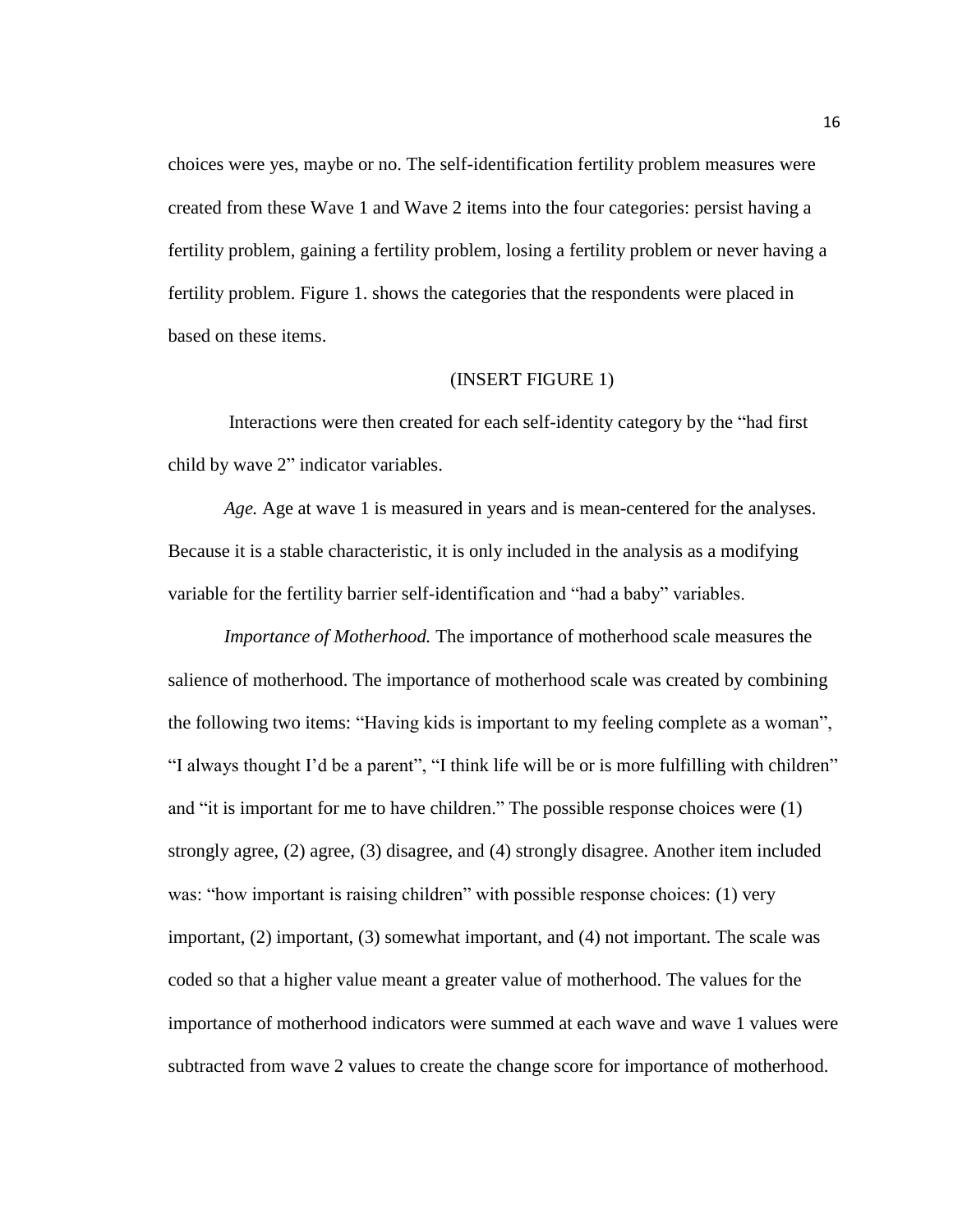choices were yes, maybe or no. The self-identification fertility problem measures were created from these Wave 1 and Wave 2 items into the four categories: persist having a fertility problem, gaining a fertility problem, losing a fertility problem or never having a fertility problem. Figure 1. shows the categories that the respondents were placed in based on these items.

#### (INSERT FIGURE 1)

Interactions were then created for each self-identity category by the "had first child by wave 2" indicator variables.

*Age.* Age at wave 1 is measured in years and is mean-centered for the analyses. Because it is a stable characteristic, it is only included in the analysis as a modifying variable for the fertility barrier self-identification and "had a baby" variables.

*Importance of Motherhood.* The importance of motherhood scale measures the salience of motherhood. The importance of motherhood scale was created by combining the following two items: "Having kids is important to my feeling complete as a woman", "I always thought I'd be a parent", "I think life will be or is more fulfilling with children" and "it is important for me to have children." The possible response choices were (1) strongly agree, (2) agree, (3) disagree, and (4) strongly disagree. Another item included was: "how important is raising children" with possible response choices: (1) very important, (2) important, (3) somewhat important, and (4) not important. The scale was coded so that a higher value meant a greater value of motherhood. The values for the importance of motherhood indicators were summed at each wave and wave 1 values were subtracted from wave 2 values to create the change score for importance of motherhood.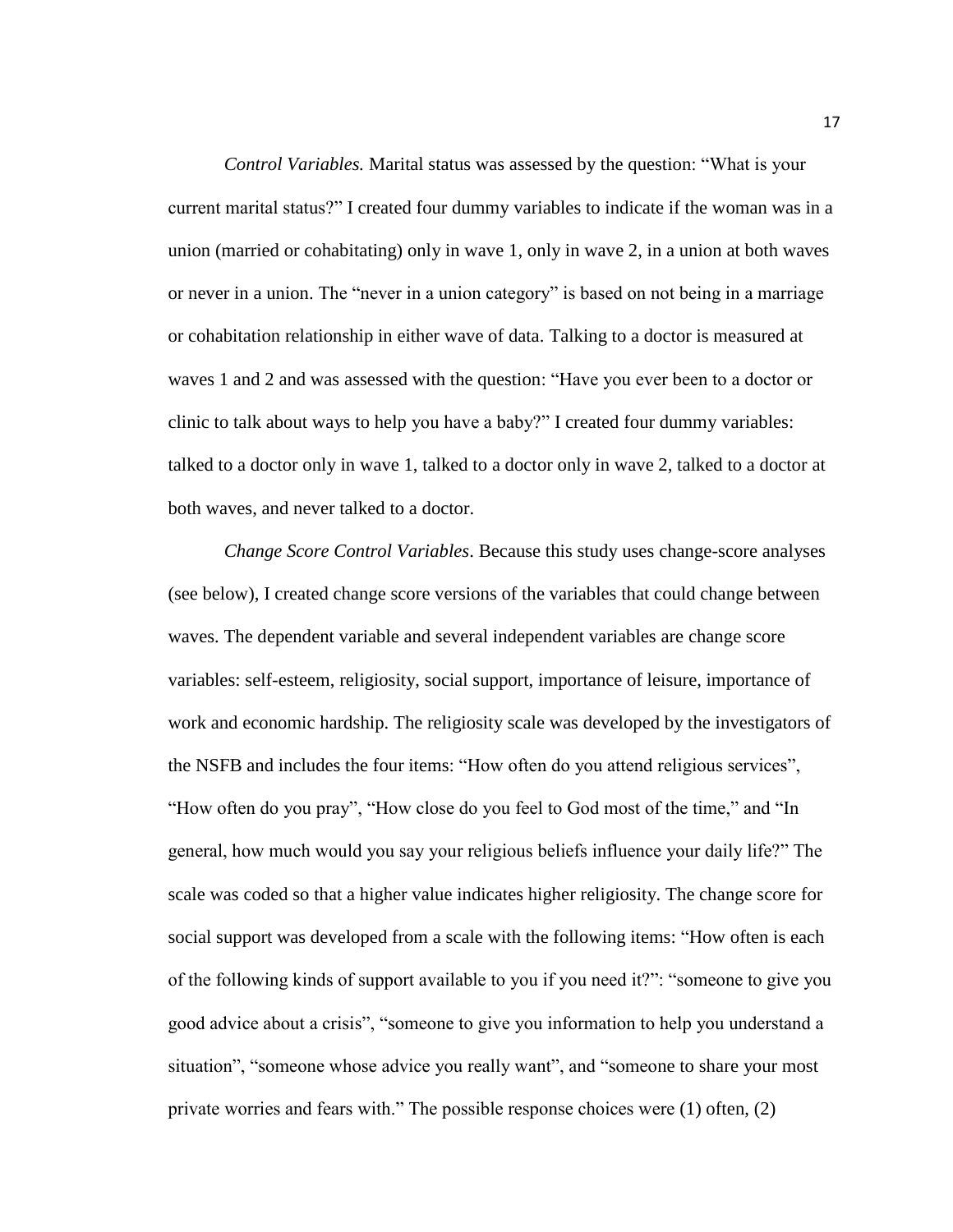*Control Variables.* Marital status was assessed by the question: "What is your current marital status?" I created four dummy variables to indicate if the woman was in a union (married or cohabitating) only in wave 1, only in wave 2, in a union at both waves or never in a union. The "never in a union category" is based on not being in a marriage or cohabitation relationship in either wave of data. Talking to a doctor is measured at waves 1 and 2 and was assessed with the question: "Have you ever been to a doctor or clinic to talk about ways to help you have a baby?" I created four dummy variables: talked to a doctor only in wave 1, talked to a doctor only in wave 2, talked to a doctor at both waves, and never talked to a doctor.

*Change Score Control Variables*. Because this study uses change-score analyses (see below), I created change score versions of the variables that could change between waves. The dependent variable and several independent variables are change score variables: self-esteem, religiosity, social support, importance of leisure, importance of work and economic hardship. The religiosity scale was developed by the investigators of the NSFB and includes the four items: "How often do you attend religious services", "How often do you pray", "How close do you feel to God most of the time," and "In general, how much would you say your religious beliefs influence your daily life?" The scale was coded so that a higher value indicates higher religiosity. The change score for social support was developed from a scale with the following items: "How often is each of the following kinds of support available to you if you need it?": "someone to give you good advice about a crisis", "someone to give you information to help you understand a situation", "someone whose advice you really want", and "someone to share your most private worries and fears with." The possible response choices were (1) often, (2)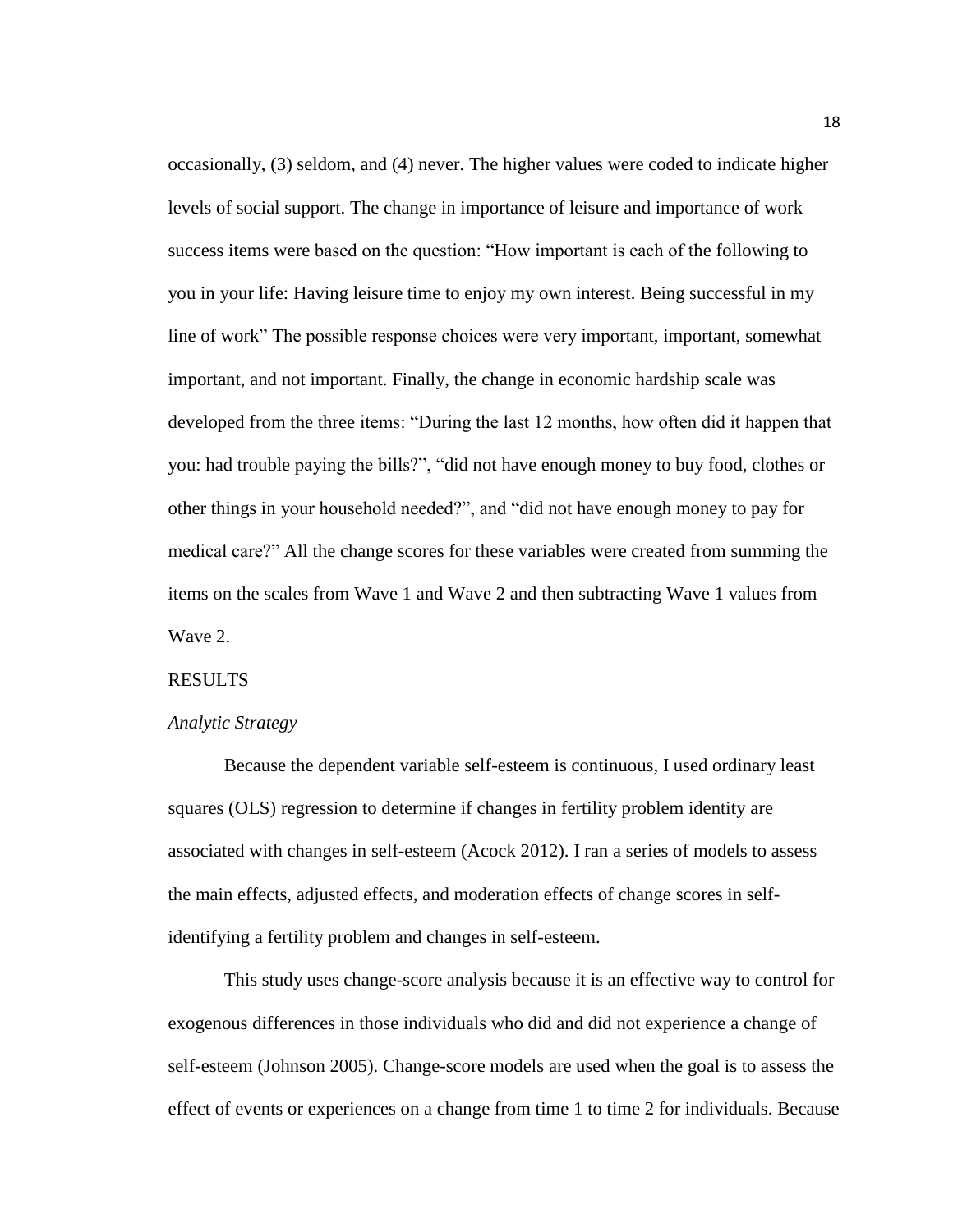occasionally, (3) seldom, and (4) never. The higher values were coded to indicate higher levels of social support. The change in importance of leisure and importance of work success items were based on the question: "How important is each of the following to you in your life: Having leisure time to enjoy my own interest. Being successful in my line of work" The possible response choices were very important, important, somewhat important, and not important. Finally, the change in economic hardship scale was developed from the three items: "During the last 12 months, how often did it happen that you: had trouble paying the bills?", "did not have enough money to buy food, clothes or other things in your household needed?", and "did not have enough money to pay for medical care?" All the change scores for these variables were created from summing the items on the scales from Wave 1 and Wave 2 and then subtracting Wave 1 values from Wave 2.

#### RESULTS

#### *Analytic Strategy*

Because the dependent variable self-esteem is continuous, I used ordinary least squares (OLS) regression to determine if changes in fertility problem identity are associated with changes in self-esteem (Acock 2012). I ran a series of models to assess the main effects, adjusted effects, and moderation effects of change scores in selfidentifying a fertility problem and changes in self-esteem.

This study uses change-score analysis because it is an effective way to control for exogenous differences in those individuals who did and did not experience a change of self-esteem (Johnson 2005). Change-score models are used when the goal is to assess the effect of events or experiences on a change from time 1 to time 2 for individuals. Because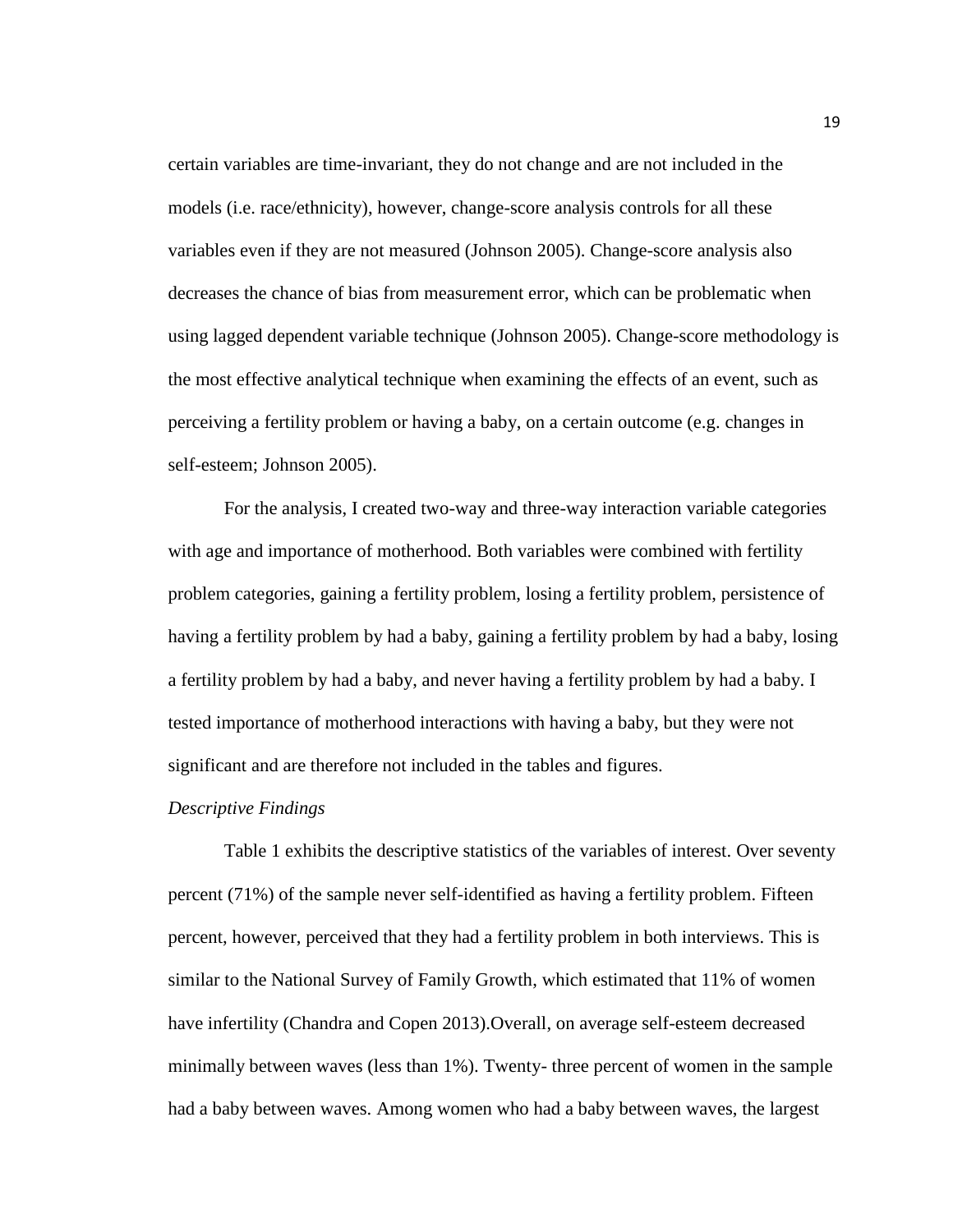certain variables are time-invariant, they do not change and are not included in the models (i.e. race/ethnicity), however, change-score analysis controls for all these variables even if they are not measured (Johnson 2005). Change-score analysis also decreases the chance of bias from measurement error, which can be problematic when using lagged dependent variable technique (Johnson 2005). Change-score methodology is the most effective analytical technique when examining the effects of an event, such as perceiving a fertility problem or having a baby, on a certain outcome (e.g. changes in self-esteem; Johnson 2005).

For the analysis, I created two-way and three-way interaction variable categories with age and importance of motherhood. Both variables were combined with fertility problem categories, gaining a fertility problem, losing a fertility problem, persistence of having a fertility problem by had a baby, gaining a fertility problem by had a baby, losing a fertility problem by had a baby, and never having a fertility problem by had a baby. I tested importance of motherhood interactions with having a baby, but they were not significant and are therefore not included in the tables and figures.

#### *Descriptive Findings*

Table 1 exhibits the descriptive statistics of the variables of interest. Over seventy percent (71%) of the sample never self-identified as having a fertility problem. Fifteen percent, however, perceived that they had a fertility problem in both interviews. This is similar to the National Survey of Family Growth, which estimated that 11% of women have infertility (Chandra and Copen 2013).Overall, on average self-esteem decreased minimally between waves (less than 1%). Twenty- three percent of women in the sample had a baby between waves. Among women who had a baby between waves, the largest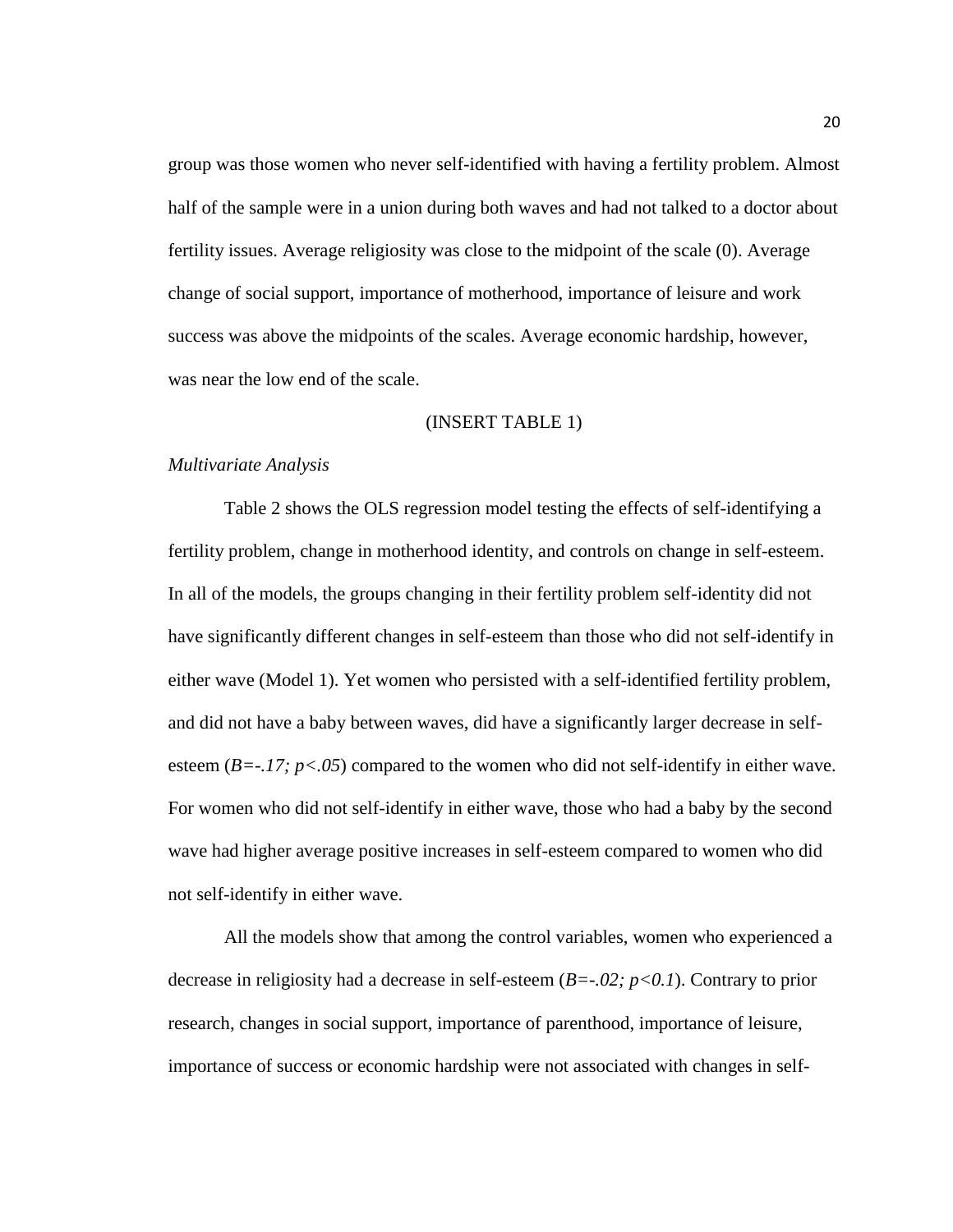group was those women who never self-identified with having a fertility problem. Almost half of the sample were in a union during both waves and had not talked to a doctor about fertility issues. Average religiosity was close to the midpoint of the scale (0). Average change of social support, importance of motherhood, importance of leisure and work success was above the midpoints of the scales. Average economic hardship, however, was near the low end of the scale.

#### (INSERT TABLE 1)

#### *Multivariate Analysis*

Table 2 shows the OLS regression model testing the effects of self-identifying a fertility problem, change in motherhood identity, and controls on change in self-esteem. In all of the models, the groups changing in their fertility problem self-identity did not have significantly different changes in self-esteem than those who did not self-identify in either wave (Model 1). Yet women who persisted with a self-identified fertility problem, and did not have a baby between waves, did have a significantly larger decrease in selfesteem  $(B=-.17; p<.05)$  compared to the women who did not self-identify in either wave. For women who did not self-identify in either wave, those who had a baby by the second wave had higher average positive increases in self-esteem compared to women who did not self-identify in either wave.

All the models show that among the control variables, women who experienced a decrease in religiosity had a decrease in self-esteem (*B=-.02; p<0.1*). Contrary to prior research, changes in social support, importance of parenthood, importance of leisure, importance of success or economic hardship were not associated with changes in self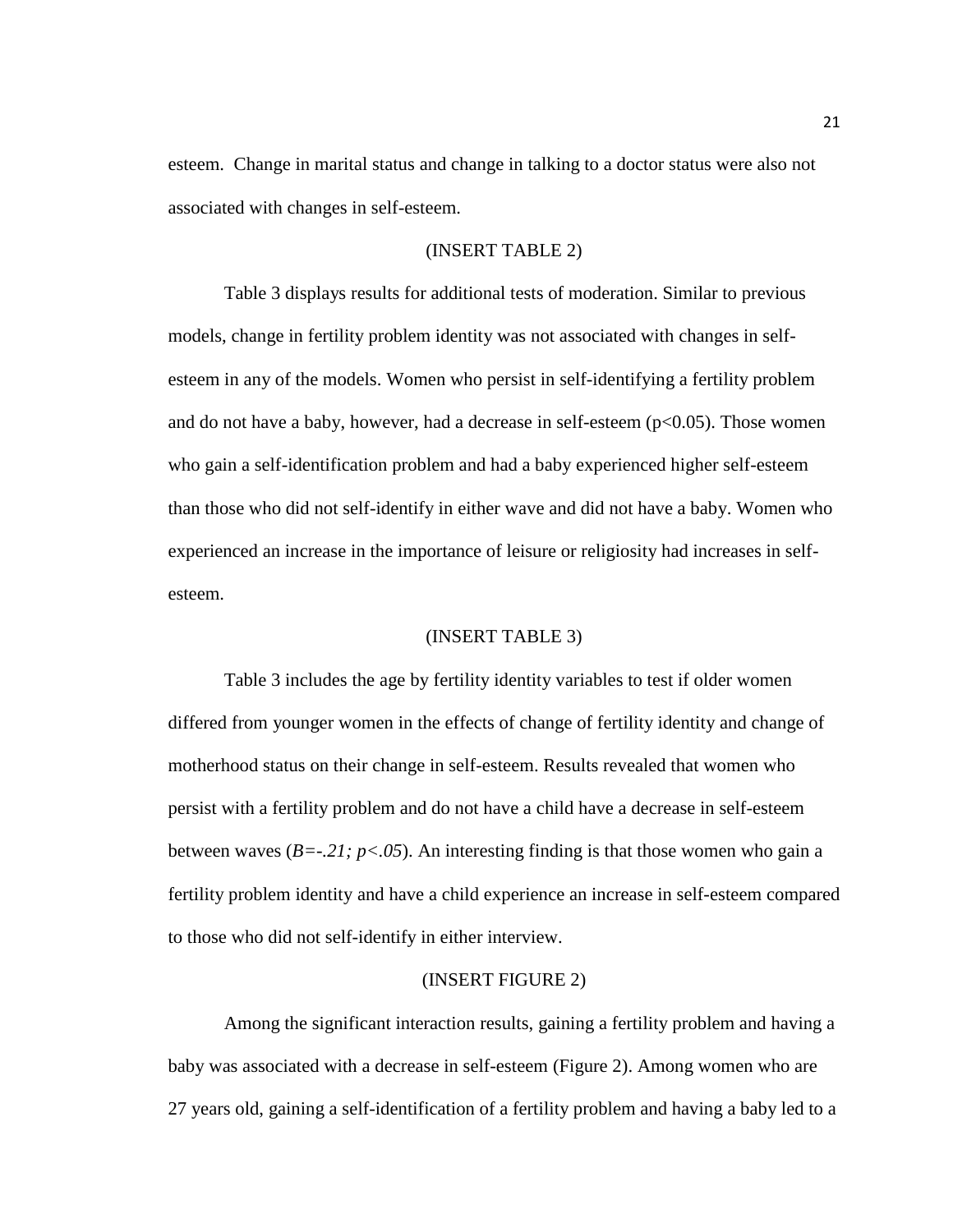esteem. Change in marital status and change in talking to a doctor status were also not associated with changes in self-esteem.

#### (INSERT TABLE 2)

Table 3 displays results for additional tests of moderation. Similar to previous models, change in fertility problem identity was not associated with changes in selfesteem in any of the models. Women who persist in self-identifying a fertility problem and do not have a baby, however, had a decrease in self-esteem  $(p<0.05)$ . Those women who gain a self-identification problem and had a baby experienced higher self-esteem than those who did not self-identify in either wave and did not have a baby. Women who experienced an increase in the importance of leisure or religiosity had increases in selfesteem.

#### (INSERT TABLE 3)

Table 3 includes the age by fertility identity variables to test if older women differed from younger women in the effects of change of fertility identity and change of motherhood status on their change in self-esteem. Results revealed that women who persist with a fertility problem and do not have a child have a decrease in self-esteem between waves ( $B = -21$ ;  $p < 0.05$ ). An interesting finding is that those women who gain a fertility problem identity and have a child experience an increase in self-esteem compared to those who did not self-identify in either interview.

#### (INSERT FIGURE 2)

Among the significant interaction results, gaining a fertility problem and having a baby was associated with a decrease in self-esteem (Figure 2). Among women who are 27 years old, gaining a self-identification of a fertility problem and having a baby led to a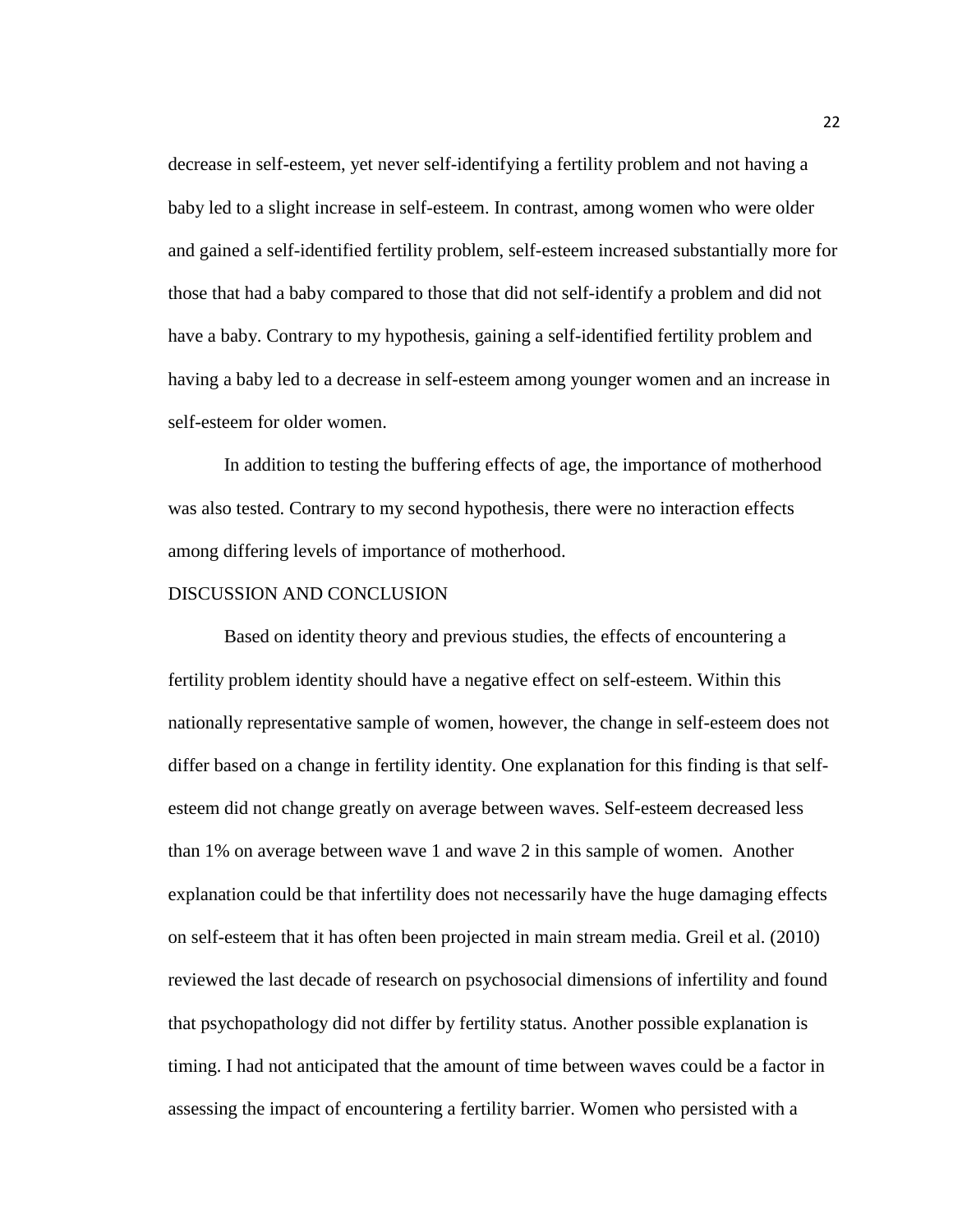decrease in self-esteem, yet never self-identifying a fertility problem and not having a baby led to a slight increase in self-esteem. In contrast, among women who were older and gained a self-identified fertility problem, self-esteem increased substantially more for those that had a baby compared to those that did not self-identify a problem and did not have a baby. Contrary to my hypothesis, gaining a self-identified fertility problem and having a baby led to a decrease in self-esteem among younger women and an increase in self-esteem for older women.

In addition to testing the buffering effects of age, the importance of motherhood was also tested. Contrary to my second hypothesis, there were no interaction effects among differing levels of importance of motherhood.

#### DISCUSSION AND CONCLUSION

Based on identity theory and previous studies, the effects of encountering a fertility problem identity should have a negative effect on self-esteem. Within this nationally representative sample of women, however, the change in self-esteem does not differ based on a change in fertility identity. One explanation for this finding is that selfesteem did not change greatly on average between waves. Self-esteem decreased less than 1% on average between wave 1 and wave 2 in this sample of women. Another explanation could be that infertility does not necessarily have the huge damaging effects on self-esteem that it has often been projected in main stream media. Greil et al. (2010) reviewed the last decade of research on psychosocial dimensions of infertility and found that psychopathology did not differ by fertility status. Another possible explanation is timing. I had not anticipated that the amount of time between waves could be a factor in assessing the impact of encountering a fertility barrier. Women who persisted with a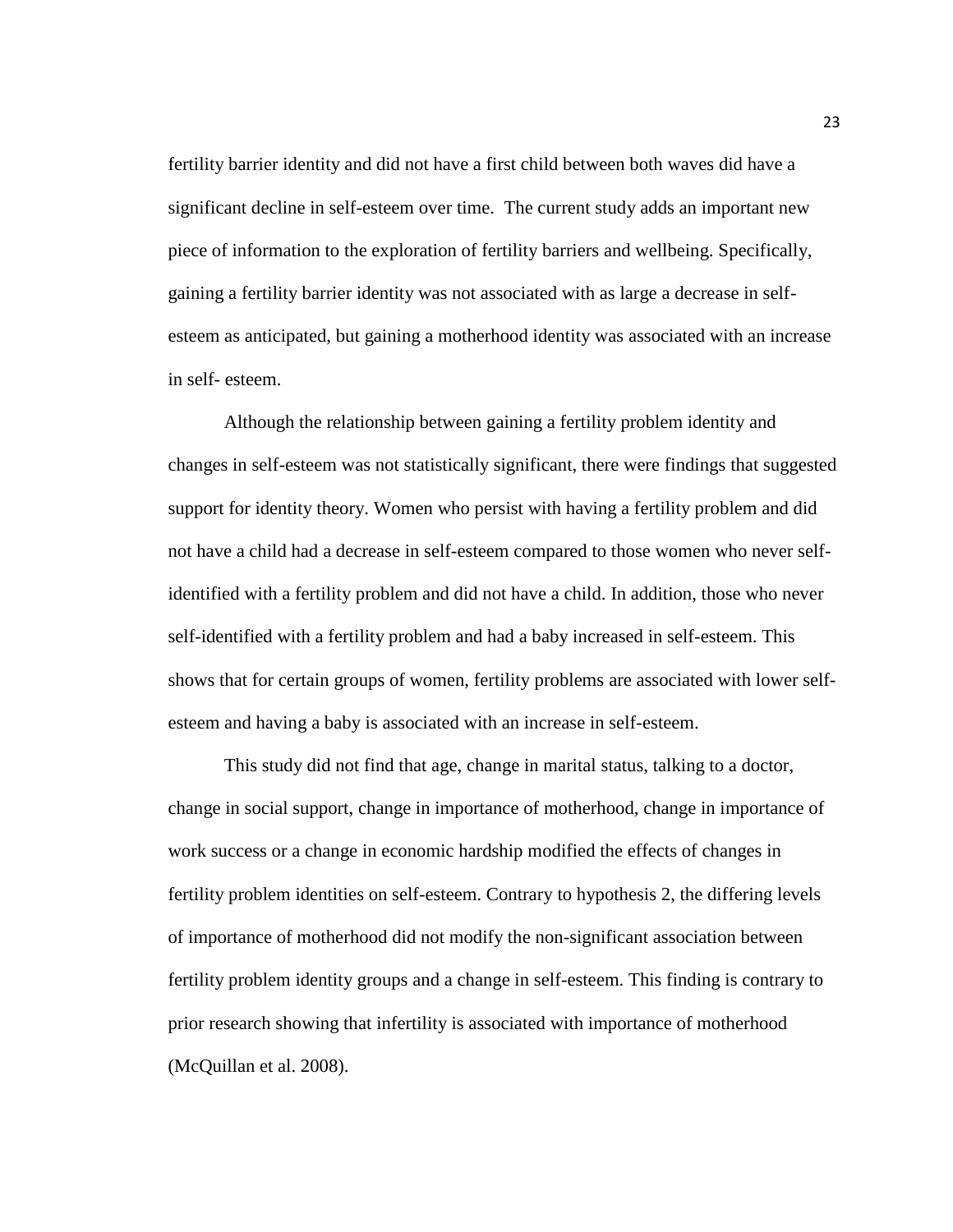fertility barrier identity and did not have a first child between both waves did have a significant decline in self-esteem over time. The current study adds an important new piece of information to the exploration of fertility barriers and wellbeing. Specifically, gaining a fertility barrier identity was not associated with as large a decrease in selfesteem as anticipated, but gaining a motherhood identity was associated with an increase in self- esteem.

Although the relationship between gaining a fertility problem identity and changes in self-esteem was not statistically significant, there were findings that suggested support for identity theory. Women who persist with having a fertility problem and did not have a child had a decrease in self-esteem compared to those women who never selfidentified with a fertility problem and did not have a child. In addition, those who never self-identified with a fertility problem and had a baby increased in self-esteem. This shows that for certain groups of women, fertility problems are associated with lower selfesteem and having a baby is associated with an increase in self-esteem.

This study did not find that age, change in marital status, talking to a doctor, change in social support, change in importance of motherhood, change in importance of work success or a change in economic hardship modified the effects of changes in fertility problem identities on self-esteem. Contrary to hypothesis 2, the differing levels of importance of motherhood did not modify the non-significant association between fertility problem identity groups and a change in self-esteem. This finding is contrary to prior research showing that infertility is associated with importance of motherhood (McQuillan et al. 2008).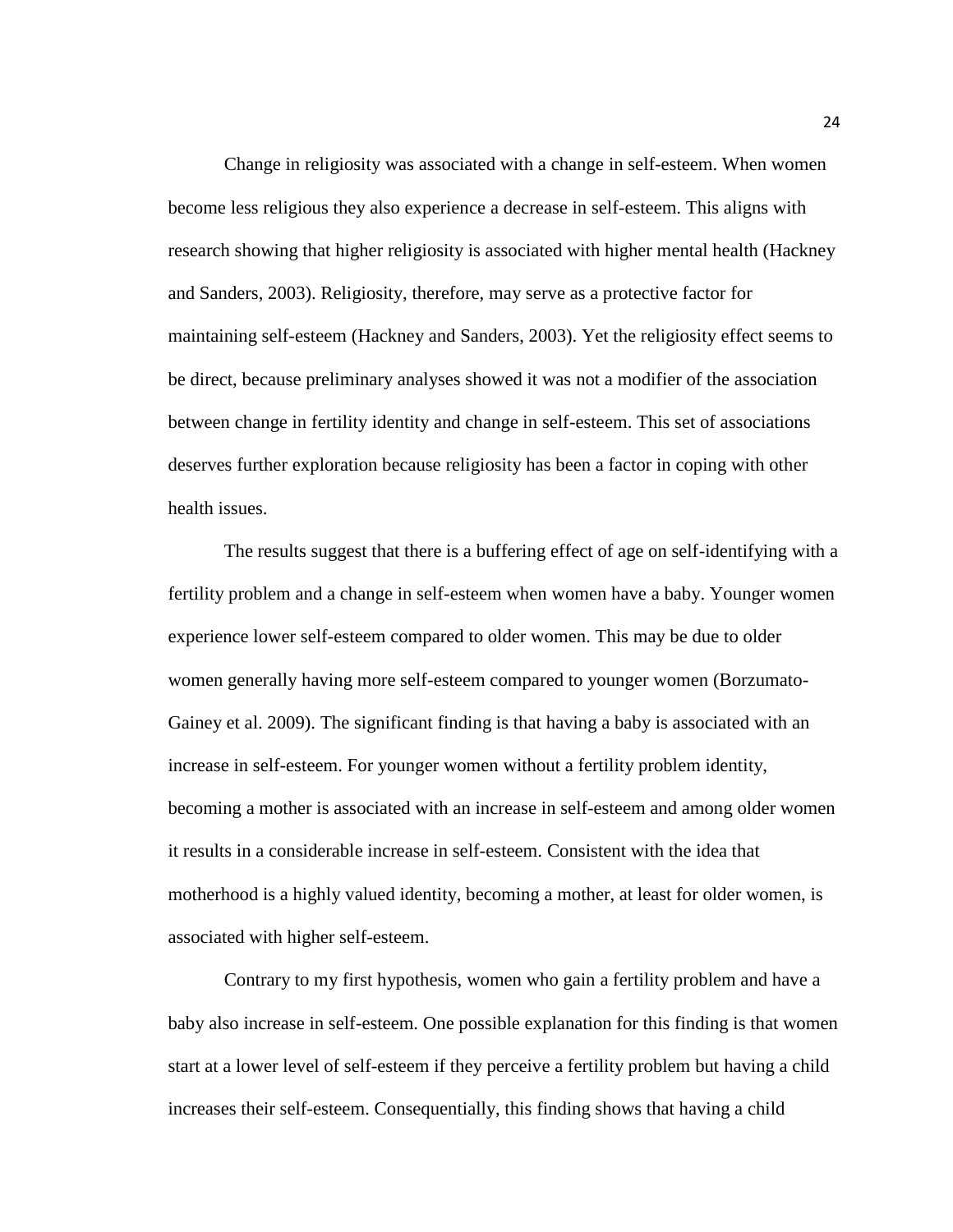Change in religiosity was associated with a change in self-esteem. When women become less religious they also experience a decrease in self-esteem. This aligns with research showing that higher religiosity is associated with higher mental health (Hackney and Sanders, 2003). Religiosity, therefore, may serve as a protective factor for maintaining self-esteem (Hackney and Sanders, 2003). Yet the religiosity effect seems to be direct, because preliminary analyses showed it was not a modifier of the association between change in fertility identity and change in self-esteem. This set of associations deserves further exploration because religiosity has been a factor in coping with other health issues.

The results suggest that there is a buffering effect of age on self-identifying with a fertility problem and a change in self-esteem when women have a baby. Younger women experience lower self-esteem compared to older women. This may be due to older women generally having more self-esteem compared to younger women (Borzumato-Gainey et al. 2009). The significant finding is that having a baby is associated with an increase in self-esteem. For younger women without a fertility problem identity, becoming a mother is associated with an increase in self-esteem and among older women it results in a considerable increase in self-esteem. Consistent with the idea that motherhood is a highly valued identity, becoming a mother, at least for older women, is associated with higher self-esteem.

Contrary to my first hypothesis, women who gain a fertility problem and have a baby also increase in self-esteem. One possible explanation for this finding is that women start at a lower level of self-esteem if they perceive a fertility problem but having a child increases their self-esteem. Consequentially, this finding shows that having a child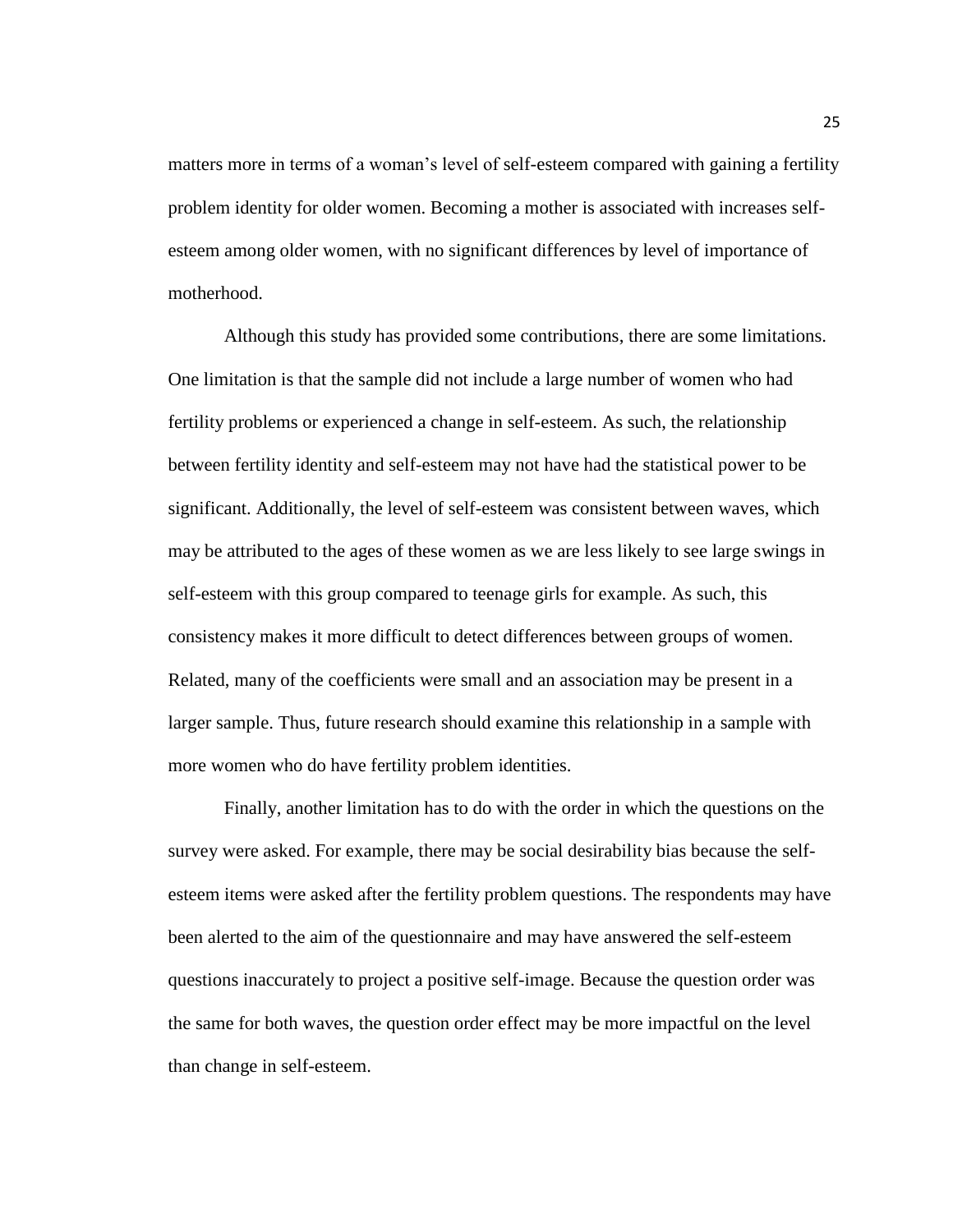matters more in terms of a woman's level of self-esteem compared with gaining a fertility problem identity for older women. Becoming a mother is associated with increases selfesteem among older women, with no significant differences by level of importance of motherhood.

Although this study has provided some contributions, there are some limitations. One limitation is that the sample did not include a large number of women who had fertility problems or experienced a change in self-esteem. As such, the relationship between fertility identity and self-esteem may not have had the statistical power to be significant. Additionally, the level of self-esteem was consistent between waves, which may be attributed to the ages of these women as we are less likely to see large swings in self-esteem with this group compared to teenage girls for example. As such, this consistency makes it more difficult to detect differences between groups of women. Related, many of the coefficients were small and an association may be present in a larger sample. Thus, future research should examine this relationship in a sample with more women who do have fertility problem identities.

Finally, another limitation has to do with the order in which the questions on the survey were asked. For example, there may be social desirability bias because the selfesteem items were asked after the fertility problem questions. The respondents may have been alerted to the aim of the questionnaire and may have answered the self-esteem questions inaccurately to project a positive self-image. Because the question order was the same for both waves, the question order effect may be more impactful on the level than change in self-esteem.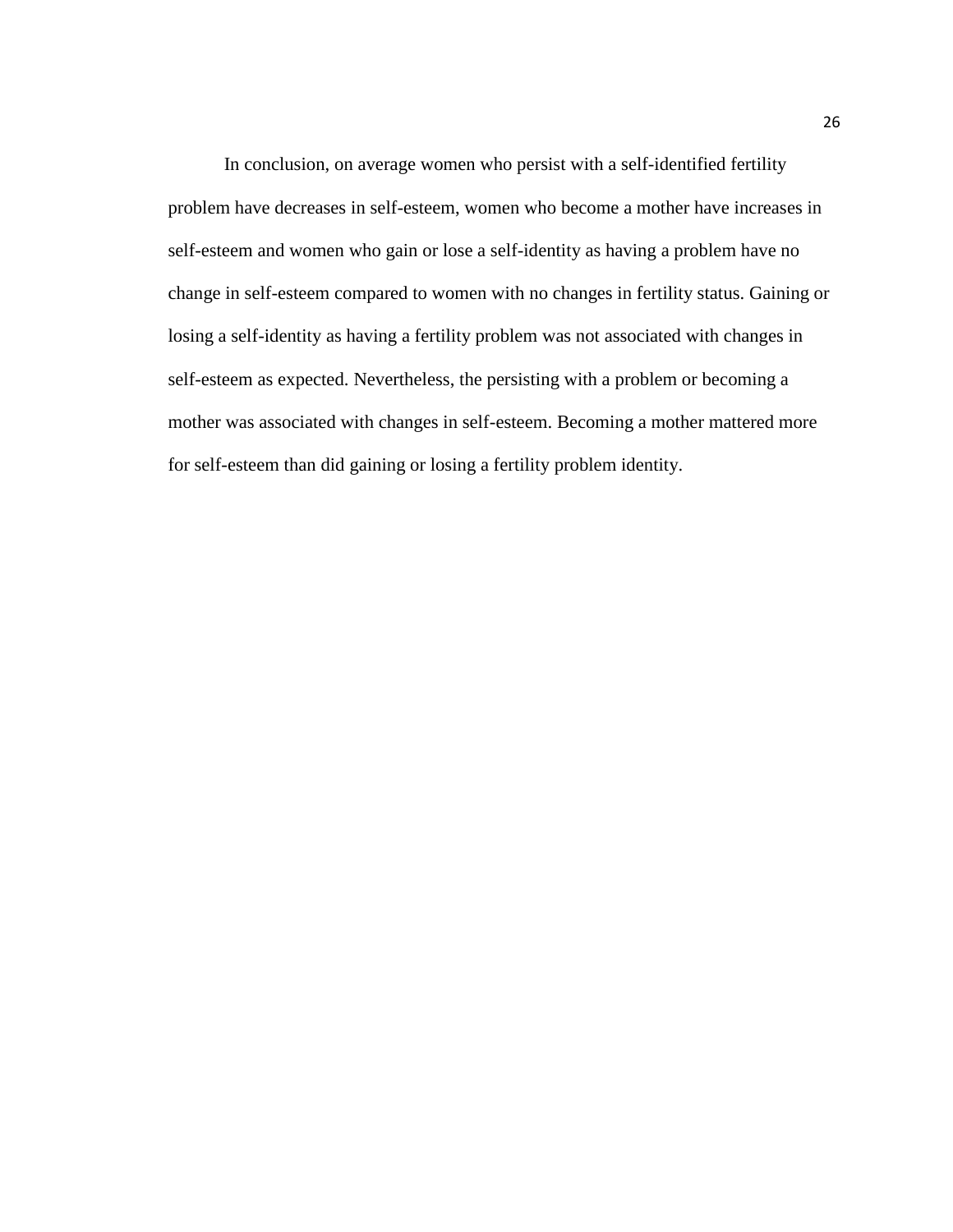In conclusion, on average women who persist with a self-identified fertility problem have decreases in self-esteem, women who become a mother have increases in self-esteem and women who gain or lose a self-identity as having a problem have no change in self-esteem compared to women with no changes in fertility status. Gaining or losing a self-identity as having a fertility problem was not associated with changes in self-esteem as expected. Nevertheless, the persisting with a problem or becoming a mother was associated with changes in self-esteem. Becoming a mother mattered more for self-esteem than did gaining or losing a fertility problem identity.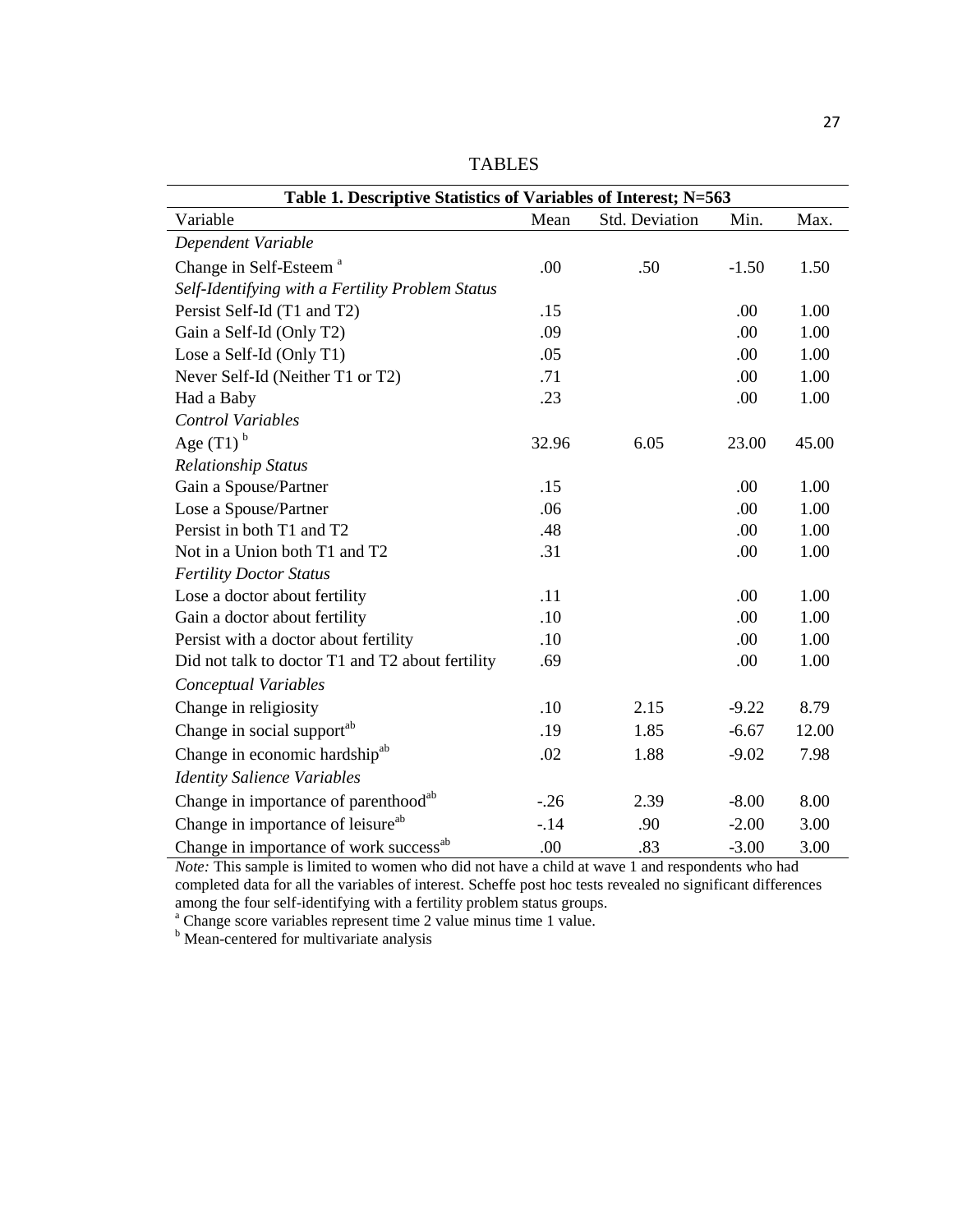| Table 1. Descriptive Statistics of Variables of Interest; N=563 |        |                |         |       |  |  |  |
|-----------------------------------------------------------------|--------|----------------|---------|-------|--|--|--|
| Variable                                                        | Mean   | Std. Deviation | Min.    | Max.  |  |  |  |
| Dependent Variable                                              |        |                |         |       |  |  |  |
| Change in Self-Esteem <sup>a</sup>                              | .00    | .50            | $-1.50$ | 1.50  |  |  |  |
| Self-Identifying with a Fertility Problem Status                |        |                |         |       |  |  |  |
| Persist Self-Id (T1 and T2)                                     | .15    |                | .00     | 1.00  |  |  |  |
| Gain a Self-Id (Only T2)                                        | .09    |                | .00     | 1.00  |  |  |  |
| Lose a Self-Id (Only T1)                                        | .05    |                | .00     | 1.00  |  |  |  |
| Never Self-Id (Neither T1 or T2)                                | .71    |                | .00     | 1.00  |  |  |  |
| Had a Baby                                                      | .23    |                | .00     | 1.00  |  |  |  |
| <b>Control Variables</b>                                        |        |                |         |       |  |  |  |
| Age $(T1)^b$                                                    | 32.96  | 6.05           | 23.00   | 45.00 |  |  |  |
| <b>Relationship Status</b>                                      |        |                |         |       |  |  |  |
| Gain a Spouse/Partner                                           | .15    |                | .00     | 1.00  |  |  |  |
| Lose a Spouse/Partner                                           | .06    |                | .00     | 1.00  |  |  |  |
| Persist in both T1 and T2                                       | .48    |                | .00     | 1.00  |  |  |  |
| Not in a Union both T1 and T2                                   | .31    |                | .00     | 1.00  |  |  |  |
| <b>Fertility Doctor Status</b>                                  |        |                |         |       |  |  |  |
| Lose a doctor about fertility                                   | .11    |                | .00     | 1.00  |  |  |  |
| Gain a doctor about fertility                                   | .10    |                | .00     | 1.00  |  |  |  |
| Persist with a doctor about fertility                           | .10    |                | .00     | 1.00  |  |  |  |
| Did not talk to doctor T1 and T2 about fertility                | .69    |                | .00     | 1.00  |  |  |  |
| Conceptual Variables                                            |        |                |         |       |  |  |  |
| Change in religiosity                                           | .10    | 2.15           | $-9.22$ | 8.79  |  |  |  |
| Change in social support <sup>ab</sup>                          | .19    | 1.85           | $-6.67$ | 12.00 |  |  |  |
| Change in economic hardship <sup>ab</sup>                       | .02    | 1.88           | $-9.02$ | 7.98  |  |  |  |
| <b>Identity Salience Variables</b>                              |        |                |         |       |  |  |  |
| Change in importance of parenthood <sup>ab</sup>                | $-.26$ | 2.39           | $-8.00$ | 8.00  |  |  |  |
| Change in importance of leisure <sup>ab</sup>                   | $-.14$ | .90            | $-2.00$ | 3.00  |  |  |  |
| Change in importance of work success <sup>ab</sup>              | .00    | .83            | $-3.00$ | 3.00  |  |  |  |

TABLES

*Note:* This sample is limited to women who did not have a child at wave 1 and respondents who had completed data for all the variables of interest. Scheffe post hoc tests revealed no significant differences among the four self-identifying with a fertility problem status groups.

<sup>a</sup> Change score variables represent time 2 value minus time 1 value.

**b** Mean-centered for multivariate analysis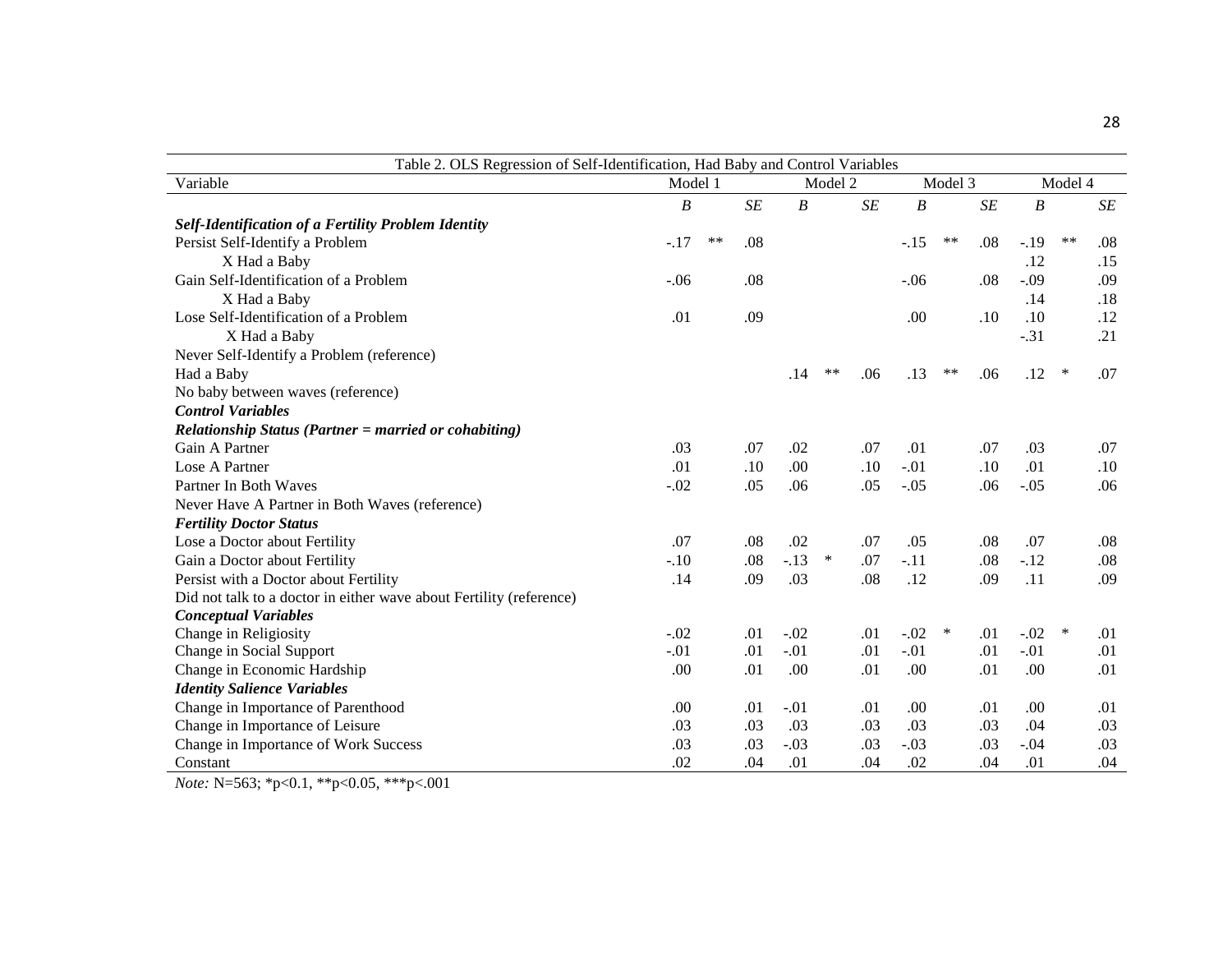| Table 2. OLS Regression of Self-Identification, Had Baby and Control Variables |         |       |         |                  |         |     |                  |         |           |                  |        |           |
|--------------------------------------------------------------------------------|---------|-------|---------|------------------|---------|-----|------------------|---------|-----------|------------------|--------|-----------|
| Variable                                                                       | Model 1 |       | Model 2 |                  | Model 3 |     |                  | Model 4 |           |                  |        |           |
|                                                                                | B       |       | SE      | $\boldsymbol{B}$ |         | SE  | $\boldsymbol{B}$ |         | $\cal SE$ | $\boldsymbol{B}$ |        | $\cal SE$ |
| <b>Self-Identification of a Fertility Problem Identity</b>                     |         |       |         |                  |         |     |                  |         |           |                  |        |           |
| Persist Self-Identify a Problem                                                | $-.17$  | $***$ | .08     |                  |         |     | $-.15$           | $***$   | .08       | $-.19$           | $***$  | .08       |
| X Had a Baby                                                                   |         |       |         |                  |         |     |                  |         |           | .12              |        | .15       |
| Gain Self-Identification of a Problem                                          | $-.06$  |       | .08     |                  |         |     | $-.06$           |         | .08       | $-.09$           |        | .09       |
| X Had a Baby                                                                   |         |       |         |                  |         |     |                  |         |           | .14              |        | .18       |
| Lose Self-Identification of a Problem                                          | .01     |       | .09     |                  |         |     | .00              |         | .10       | .10              |        | .12       |
| X Had a Baby                                                                   |         |       |         |                  |         |     |                  |         |           | $-.31$           |        | .21       |
| Never Self-Identify a Problem (reference)                                      |         |       |         |                  |         |     |                  |         |           |                  |        |           |
| Had a Baby                                                                     |         |       |         | .14              | $***$   | .06 | .13              | $***$   | .06       | .12              | $\ast$ | .07       |
| No baby between waves (reference)                                              |         |       |         |                  |         |     |                  |         |           |                  |        |           |
| <b>Control Variables</b>                                                       |         |       |         |                  |         |     |                  |         |           |                  |        |           |
| <b>Relationship Status (Partner = married or cohabiting)</b>                   |         |       |         |                  |         |     |                  |         |           |                  |        |           |
| Gain A Partner                                                                 | .03     |       | .07     | .02              |         | .07 | .01              |         | .07       | .03              |        | .07       |
| Lose A Partner                                                                 | .01     |       | .10     | .00.             |         | .10 | $-.01$           |         | .10       | .01              |        | .10       |
| Partner In Both Waves                                                          | $-.02$  |       | .05     | .06              |         | .05 | $-.05$           |         | .06       | $-.05$           |        | .06       |
| Never Have A Partner in Both Waves (reference)                                 |         |       |         |                  |         |     |                  |         |           |                  |        |           |
| <b>Fertility Doctor Status</b>                                                 |         |       |         |                  |         |     |                  |         |           |                  |        |           |
| Lose a Doctor about Fertility                                                  | .07     |       | .08     | .02              |         | .07 | .05              |         | .08       | .07              |        | .08       |
| Gain a Doctor about Fertility                                                  | $-.10$  |       | .08     | $-.13$           | $\ast$  | .07 | $-.11$           |         | .08       | $-.12$           |        | .08       |
| Persist with a Doctor about Fertility                                          | .14     |       | .09     | .03              |         | .08 | .12              |         | .09       | .11              |        | .09       |
| Did not talk to a doctor in either wave about Fertility (reference)            |         |       |         |                  |         |     |                  |         |           |                  |        |           |
| <b>Conceptual Variables</b>                                                    |         |       |         |                  |         |     |                  |         |           |                  |        |           |
| Change in Religiosity                                                          | $-.02$  |       | .01     | $-.02$           |         | .01 | $-.02$           | $\ast$  | .01       | $-.02$           | $\ast$ | .01       |
| Change in Social Support                                                       | $-.01$  |       | .01     | $-.01$           |         | .01 | $-.01$           |         | .01       | $-.01$           |        | .01       |
| Change in Economic Hardship                                                    | .00     |       | .01     | .00              |         | .01 | .00              |         | .01       | .00              |        | .01       |
| <b>Identity Salience Variables</b>                                             |         |       |         |                  |         |     |                  |         |           |                  |        |           |
| Change in Importance of Parenthood                                             | .00     |       | .01     | $-.01$           |         | .01 | .00              |         | .01       | .00              |        | .01       |
| Change in Importance of Leisure                                                | .03     |       | .03     | .03              |         | .03 | .03              |         | .03       | .04              |        | .03       |
| Change in Importance of Work Success                                           | .03     |       | .03     | $-.03$           |         | .03 | $-.03$           |         | .03       | $-.04$           |        | .03       |
| Constant                                                                       | .02     |       | .04     | .01              |         | .04 | .02              |         | .04       | .01              |        | .04       |

*Note:* N=563; \*p<0.1, \*\*p<0.05, \*\*\*p<.001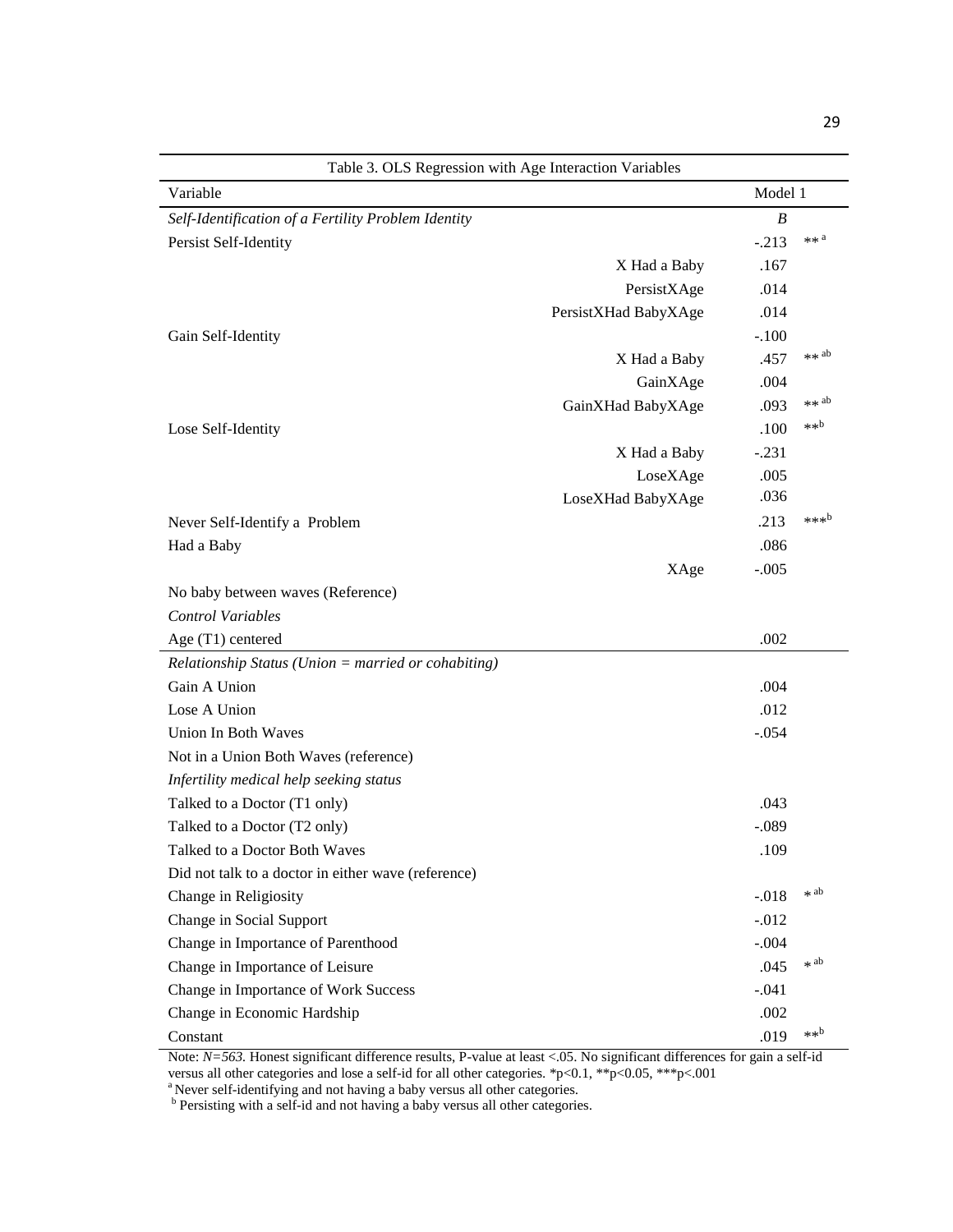| Table 3. OLS Regression with Age Interaction Variables |                      |                  |                  |  |  |  |
|--------------------------------------------------------|----------------------|------------------|------------------|--|--|--|
| Variable                                               |                      | Model 1          |                  |  |  |  |
| Self-Identification of a Fertility Problem Identity    |                      | $\boldsymbol{B}$ |                  |  |  |  |
| Persist Self-Identity                                  |                      | $-.213$          | $**a$            |  |  |  |
|                                                        | X Had a Baby         | .167             |                  |  |  |  |
|                                                        | PersistXAge          | .014             |                  |  |  |  |
|                                                        | PersistXHad BabyXAge | .014             |                  |  |  |  |
| Gain Self-Identity                                     |                      | $-.100$          |                  |  |  |  |
|                                                        | X Had a Baby         | .457             | $**$ ab          |  |  |  |
|                                                        | GainXAge             | .004             |                  |  |  |  |
|                                                        | GainXHad BabyXAge    | .093             | $**$ ab          |  |  |  |
| Lose Self-Identity                                     |                      | .100             | $**b$            |  |  |  |
|                                                        | X Had a Baby         | $-.231$          |                  |  |  |  |
|                                                        | LoseXAge             | .005             |                  |  |  |  |
|                                                        | LoseXHad BabyXAge    | .036             |                  |  |  |  |
| Never Self-Identify a Problem                          |                      | .213             | *** <sup>b</sup> |  |  |  |
| Had a Baby                                             |                      | .086             |                  |  |  |  |
|                                                        | XAge                 | $-.005$          |                  |  |  |  |
| No baby between waves (Reference)                      |                      |                  |                  |  |  |  |
| <b>Control Variables</b>                               |                      |                  |                  |  |  |  |
| Age (T1) centered                                      |                      | .002             |                  |  |  |  |
| $Relationship$ Status (Union = married or cohabiting)  |                      |                  |                  |  |  |  |
| Gain A Union                                           |                      | .004             |                  |  |  |  |
| Lose A Union                                           |                      | .012             |                  |  |  |  |
| Union In Both Waves                                    |                      | $-.054$          |                  |  |  |  |
| Not in a Union Both Waves (reference)                  |                      |                  |                  |  |  |  |
| Infertility medical help seeking status                |                      |                  |                  |  |  |  |
| Talked to a Doctor (T1 only)                           |                      | .043             |                  |  |  |  |
| Talked to a Doctor (T2 only)                           |                      | $-.089$          |                  |  |  |  |
| Talked to a Doctor Both Waves                          |                      | .109             |                  |  |  |  |
| Did not talk to a doctor in either wave (reference)    |                      |                  |                  |  |  |  |
| Change in Religiosity                                  |                      | $-.018$          | * ab             |  |  |  |
| Change in Social Support                               |                      | $-0.012$         |                  |  |  |  |
| Change in Importance of Parenthood                     |                      | $-.004$          |                  |  |  |  |
| Change in Importance of Leisure                        |                      | .045             | * ab             |  |  |  |
| Change in Importance of Work Success                   |                      | $-.041$          |                  |  |  |  |
| Change in Economic Hardship                            |                      | .002             |                  |  |  |  |
| Constant                                               |                      | .019             | $**b$            |  |  |  |

Note:  $N=563$ . Honest significant difference results, P-value at least <.05. No significant differences for gain a self-id versus all other categories and lose a self-id for all other categories. \*p<0.1, \*\*p<0.05, \*\*\*p<.001

<sup>a</sup> Never self-identifying and not having a baby versus all other categories.<br><sup>b</sup> Persisting with a self-id and not having a baby versus all other categories.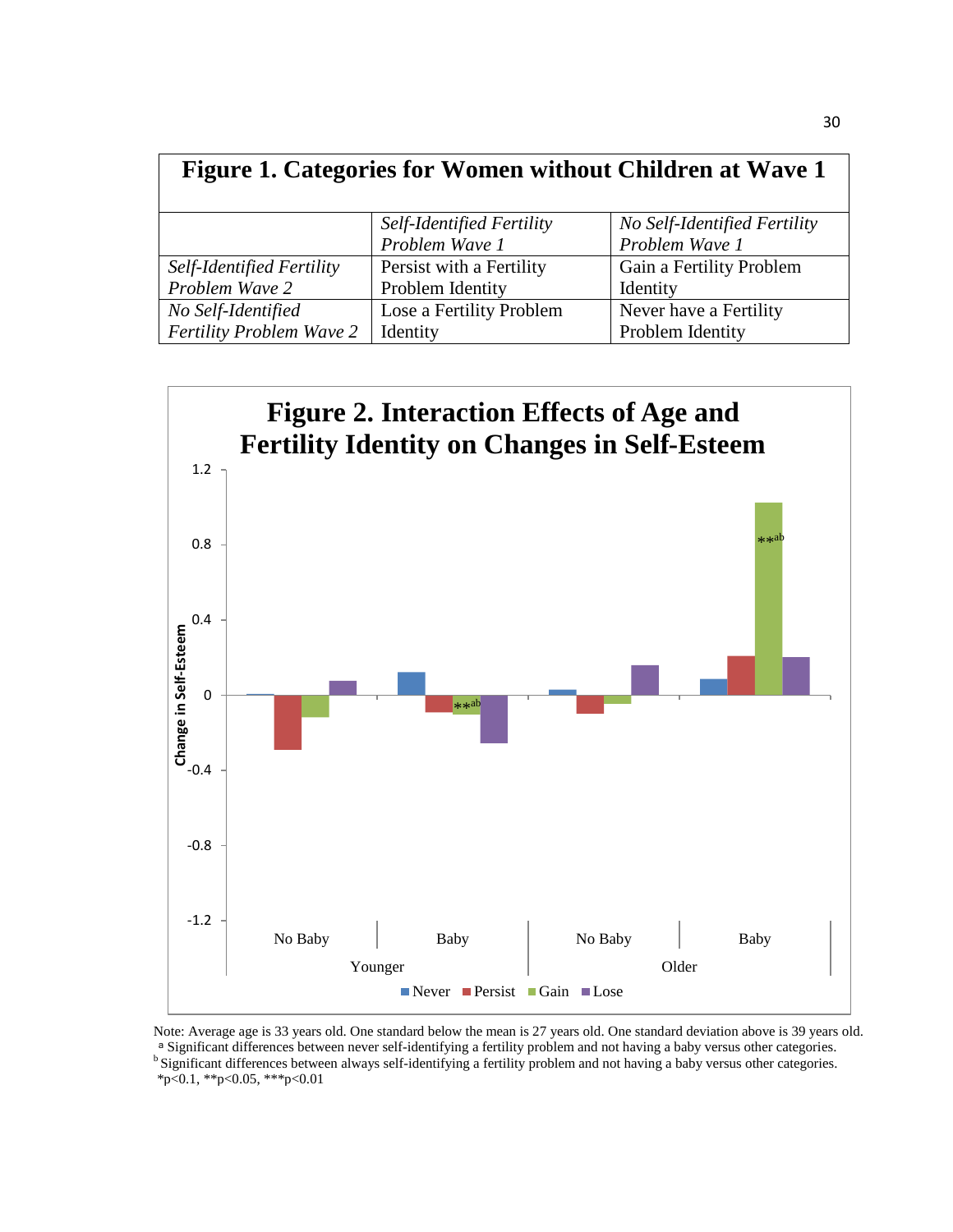| Figure 1. Categories for Women without Children at Wave 1 |                           |                              |  |  |  |
|-----------------------------------------------------------|---------------------------|------------------------------|--|--|--|
|                                                           | Self-Identified Fertility | No Self-Identified Fertility |  |  |  |
|                                                           | Problem Wave 1            | Problem Wave 1               |  |  |  |
| Self-Identified Fertility                                 | Persist with a Fertility  | Gain a Fertility Problem     |  |  |  |
| Problem Wave 2                                            | Problem Identity          | Identity                     |  |  |  |
| No Self-Identified                                        | Lose a Fertility Problem  | Never have a Fertility       |  |  |  |
| <b>Fertility Problem Wave 2</b>                           | Identity                  | Problem Identity             |  |  |  |



Note: Average age is 33 years old. One standard below the mean is 27 years old. One standard deviation above is 39 years old. ᵃ Significant differences between never self-identifying a fertility problem and not having a baby versus other categories. <sup>b</sup> Significant differences between always self-identifying a fertility problem and not having a baby versus other categories.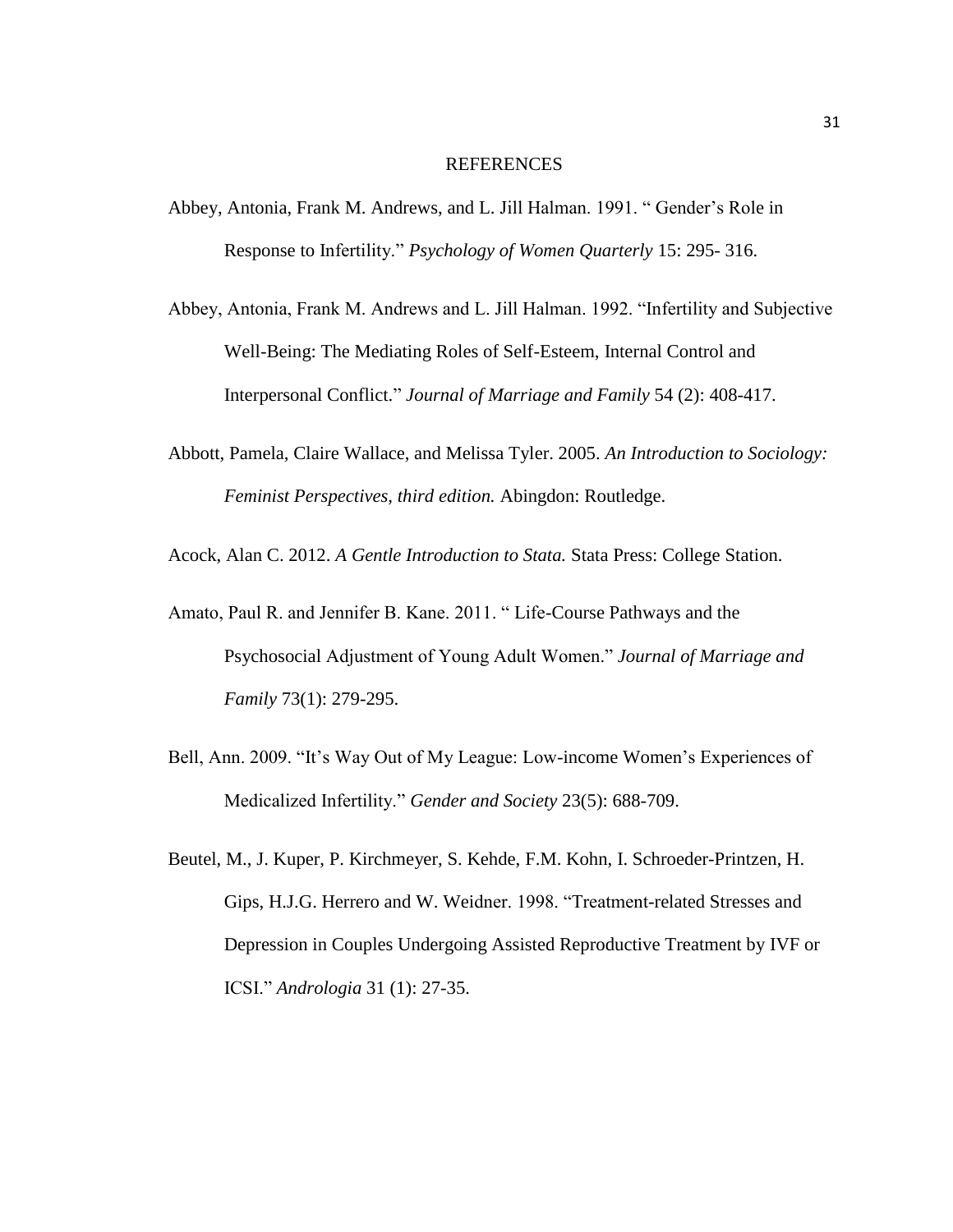#### REFERENCES

- Abbey, Antonia, Frank M. Andrews, and L. Jill Halman. 1991. " Gender's Role in Response to Infertility." *Psychology of Women Quarterly* 15: 295- 316.
- Abbey, Antonia, Frank M. Andrews and L. Jill Halman. 1992. "Infertility and Subjective Well-Being: The Mediating Roles of Self-Esteem, Internal Control and Interpersonal Conflict." *Journal of Marriage and Family* 54 (2): 408-417.
- Abbott, Pamela, Claire Wallace, and Melissa Tyler. 2005. *An Introduction to Sociology: Feminist Perspectives, third edition.* Abingdon: Routledge.

Acock, Alan C. 2012. *A Gentle Introduction to Stata.* Stata Press: College Station.

- Amato, Paul R. and Jennifer B. Kane. 2011. " Life-Course Pathways and the Psychosocial Adjustment of Young Adult Women." *Journal of Marriage and Family* 73(1): 279-295.
- Bell, Ann. 2009. "It's Way Out of My League: Low-income Women's Experiences of Medicalized Infertility." *Gender and Society* 23(5): 688-709.
- Beutel, M., J. Kuper, P. Kirchmeyer, S. Kehde, F.M. Kohn, I. Schroeder-Printzen, H. Gips, H.J.G. Herrero and W. Weidner. 1998. "Treatment-related Stresses and Depression in Couples Undergoing Assisted Reproductive Treatment by IVF or ICSI." *Andrologia* 31 (1): 27-35.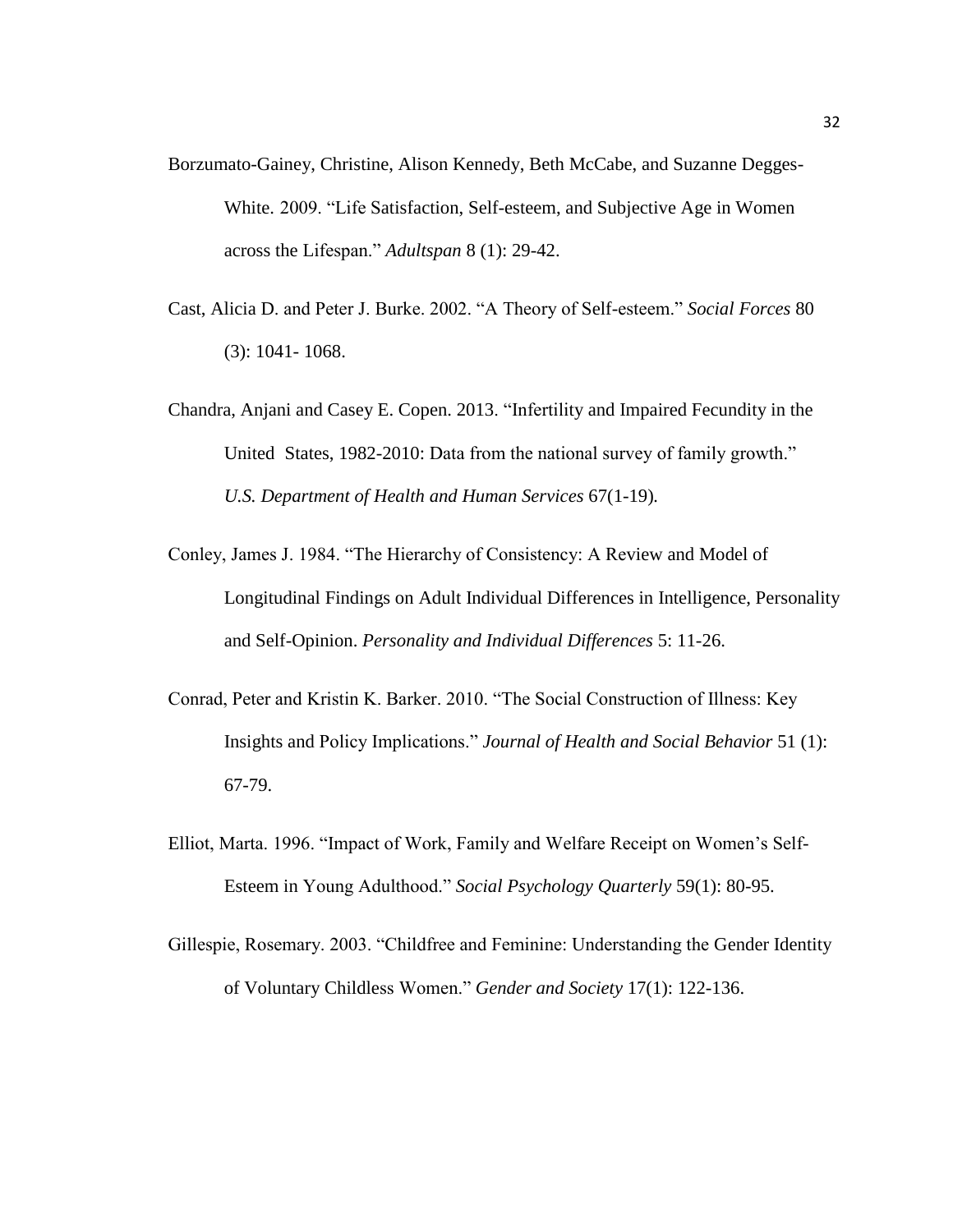- Borzumato-Gainey, Christine, Alison Kennedy, Beth McCabe, and Suzanne Degges-White. 2009. "Life Satisfaction, Self-esteem, and Subjective Age in Women across the Lifespan." *Adultspan* 8 (1): 29-42.
- Cast, Alicia D. and Peter J. Burke. 2002. "A Theory of Self-esteem." *Social Forces* 80 (3): 1041- 1068.
- Chandra, Anjani and Casey E. Copen. 2013. "Infertility and Impaired Fecundity in the United States, 1982-2010: Data from the national survey of family growth." *U.S. Department of Health and Human Services* 67(1-19)*.*
- Conley, James J. 1984. "The Hierarchy of Consistency: A Review and Model of Longitudinal Findings on Adult Individual Differences in Intelligence, Personality and Self-Opinion. *Personality and Individual Differences* 5: 11-26.
- Conrad, Peter and Kristin K. Barker. 2010. "The Social Construction of Illness: Key Insights and Policy Implications." *Journal of Health and Social Behavior* 51 (1): 67-79.
- Elliot, Marta. 1996. "Impact of Work, Family and Welfare Receipt on Women's Self-Esteem in Young Adulthood." *Social Psychology Quarterly* 59(1): 80-95.
- Gillespie, Rosemary. 2003. "Childfree and Feminine: Understanding the Gender Identity of Voluntary Childless Women." *Gender and Society* 17(1): 122-136.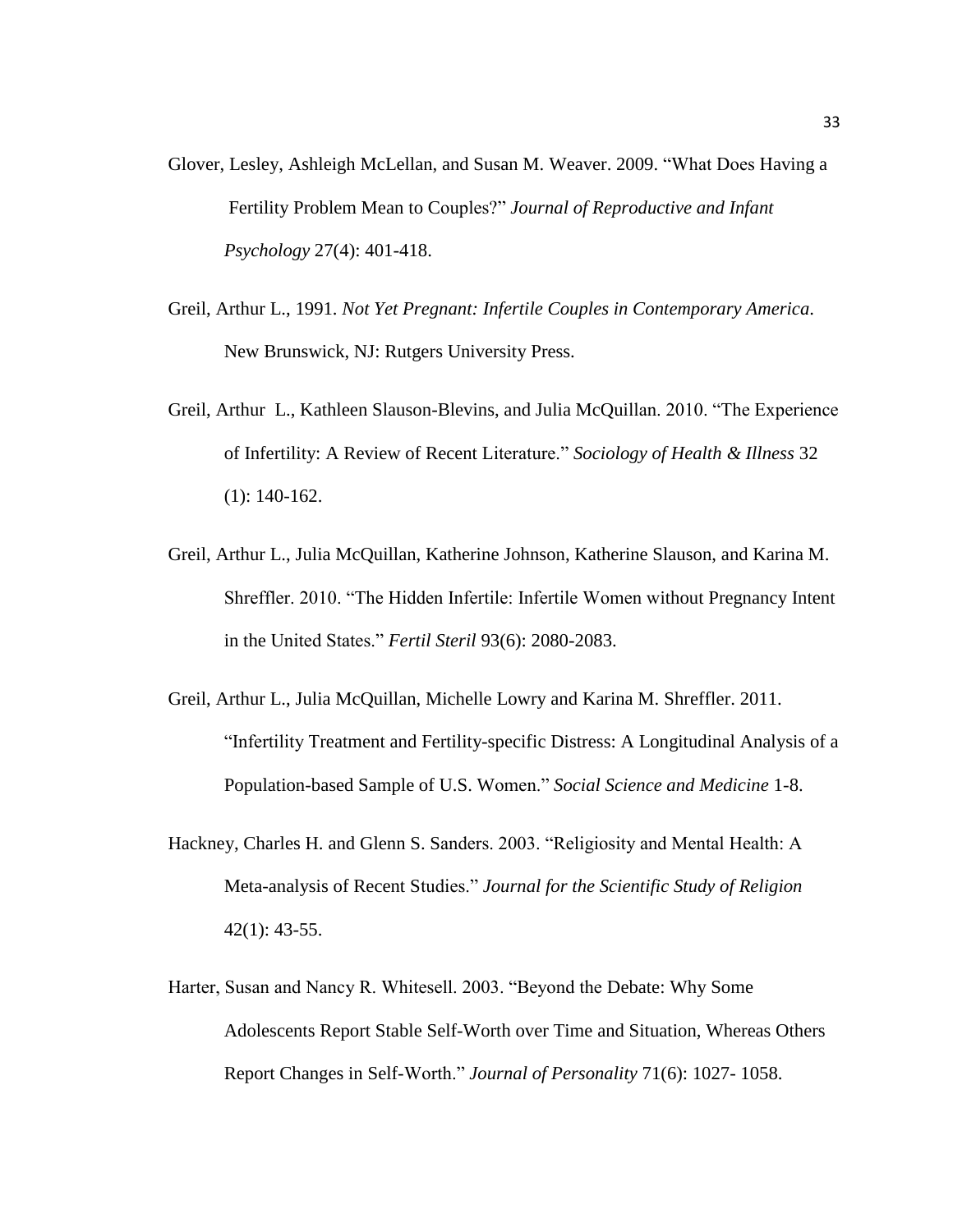- Glover, Lesley, Ashleigh McLellan, and Susan M. Weaver. 2009. "What Does Having a Fertility Problem Mean to Couples?" *Journal of Reproductive and Infant Psychology* 27(4): 401-418.
- Greil, Arthur L., 1991. *Not Yet Pregnant: Infertile Couples in Contemporary America*. New Brunswick, NJ: Rutgers University Press.
- Greil, Arthur L., Kathleen Slauson-Blevins, and Julia McQuillan. 2010. "The Experience of Infertility: A Review of Recent Literature." *Sociology of Health & Illness* 32 (1): 140-162.
- Greil, Arthur L., Julia McQuillan, Katherine Johnson, Katherine Slauson, and Karina M. Shreffler. 2010. "The Hidden Infertile: Infertile Women without Pregnancy Intent in the United States." *Fertil Steril* 93(6): 2080-2083.
- Greil, Arthur L., Julia McQuillan, Michelle Lowry and Karina M. Shreffler. 2011. "Infertility Treatment and Fertility-specific Distress: A Longitudinal Analysis of a Population-based Sample of U.S. Women." *Social Science and Medicine* 1-8.
- Hackney, Charles H. and Glenn S. Sanders. 2003. "Religiosity and Mental Health: A Meta-analysis of Recent Studies." *Journal for the Scientific Study of Religion* 42(1): 43-55.
- Harter, Susan and Nancy R. Whitesell. 2003. "Beyond the Debate: Why Some Adolescents Report Stable Self-Worth over Time and Situation, Whereas Others Report Changes in Self-Worth." *Journal of Personality* 71(6): 1027- 1058.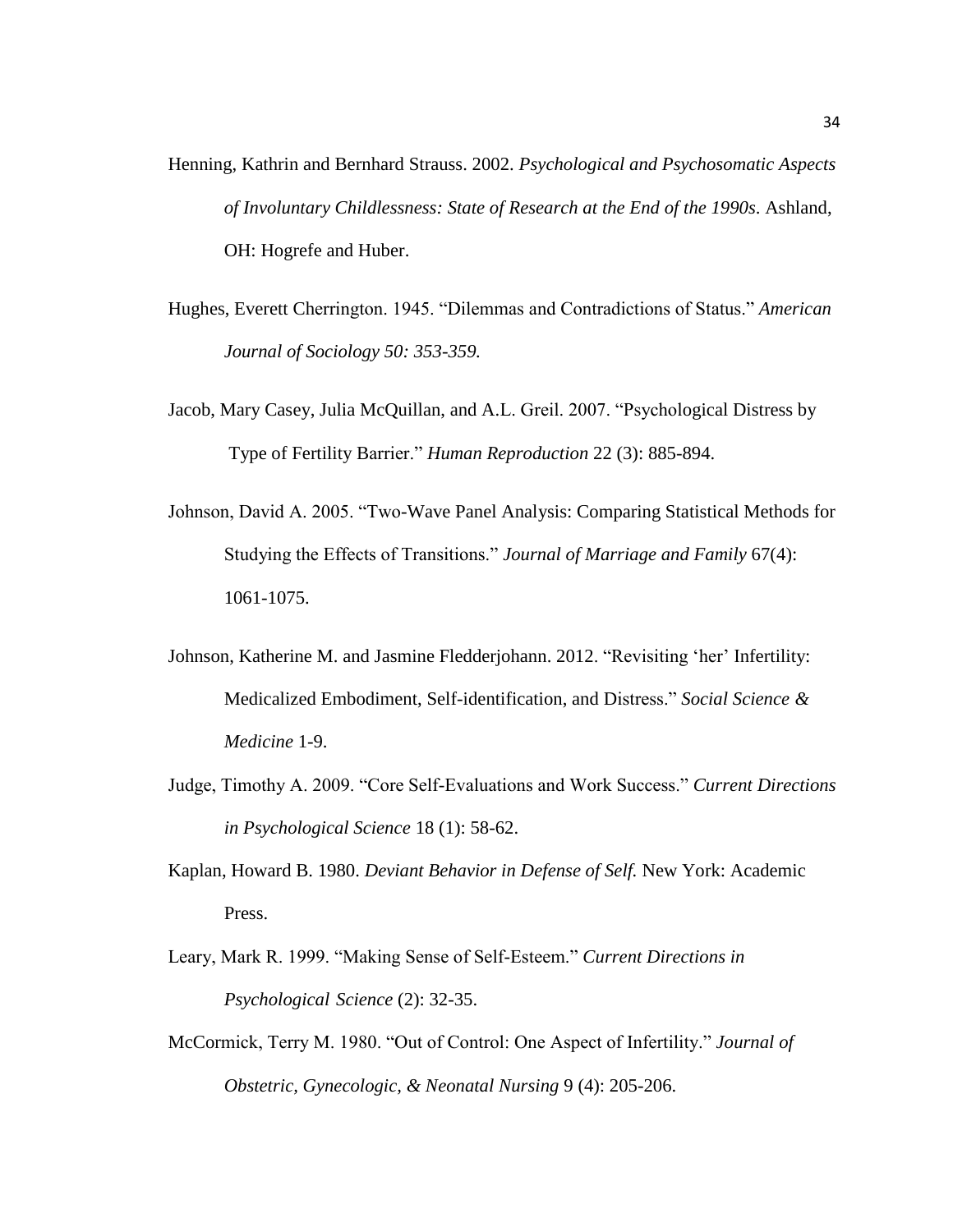- Henning, Kathrin and Bernhard Strauss. 2002. *Psychological and Psychosomatic Aspects of Involuntary Childlessness: State of Research at the End of the 1990s*. Ashland, OH: Hogrefe and Huber.
- Hughes, Everett Cherrington. 1945. "Dilemmas and Contradictions of Status." *American Journal of Sociology 50: 353-359.*
- Jacob, Mary Casey, Julia McQuillan, and A.L. Greil. 2007. "Psychological Distress by Type of Fertility Barrier." *Human Reproduction* 22 (3): 885-894.
- Johnson, David A. 2005. "Two-Wave Panel Analysis: Comparing Statistical Methods for Studying the Effects of Transitions." *Journal of Marriage and Family* 67(4): 1061-1075.
- Johnson, Katherine M. and Jasmine Fledderjohann. 2012. "Revisiting 'her' Infertility: Medicalized Embodiment, Self-identification, and Distress." *Social Science & Medicine* 1-9.
- Judge, Timothy A. 2009. "Core Self-Evaluations and Work Success." *Current Directions in Psychological Science* 18 (1): 58-62.
- Kaplan, Howard B. 1980. *Deviant Behavior in Defense of Self.* New York: Academic Press.
- Leary, Mark R. 1999. "Making Sense of Self-Esteem." *Current Directions in Psychological Science* (2): 32-35.
- McCormick, Terry M. 1980. "Out of Control: One Aspect of Infertility." *Journal of Obstetric, Gynecologic, & Neonatal Nursing* 9 (4): 205-206.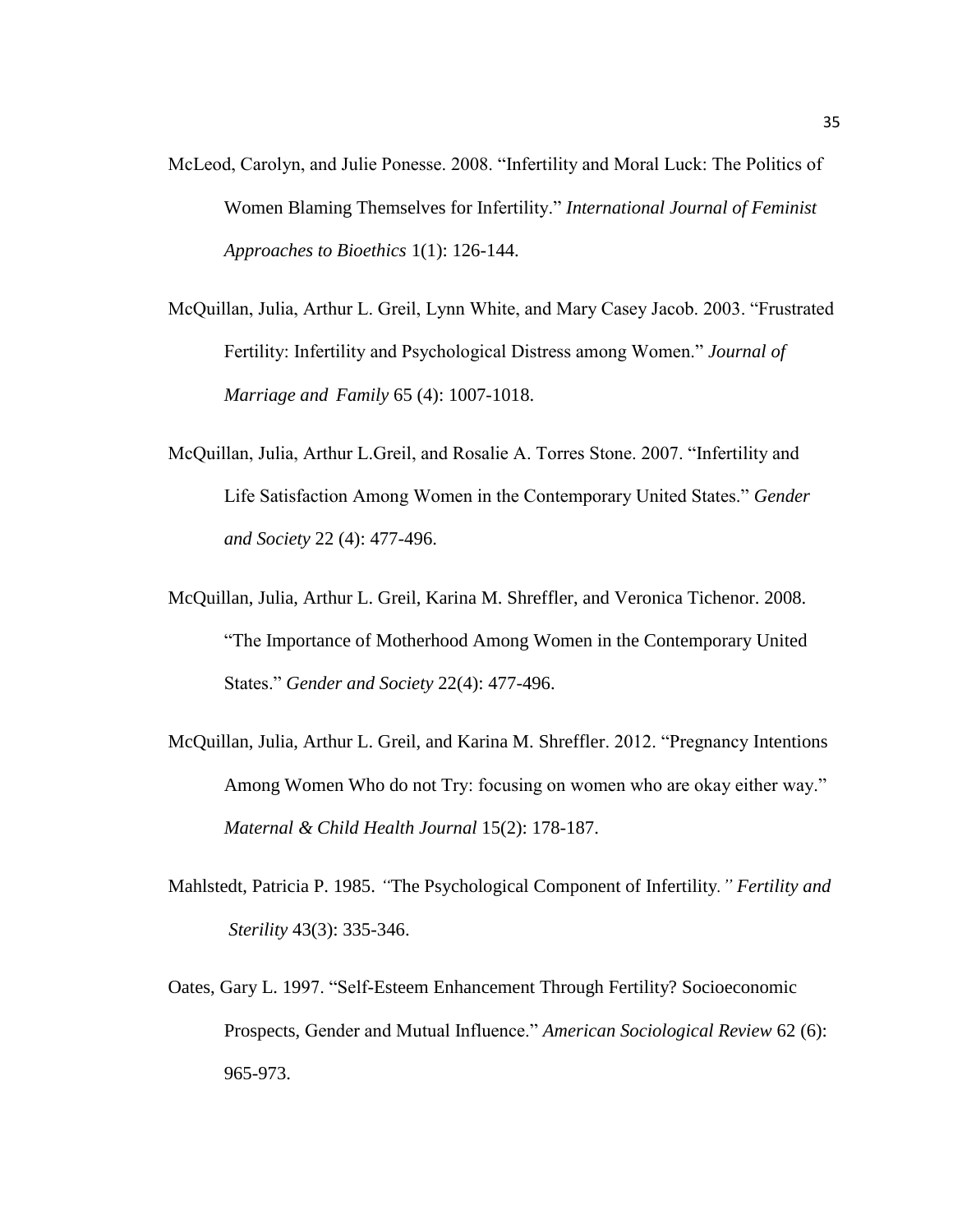- McLeod, Carolyn, and Julie Ponesse. 2008. "Infertility and Moral Luck: The Politics of Women Blaming Themselves for Infertility." *International Journal of Feminist Approaches to Bioethics* 1(1): 126-144.
- McQuillan, Julia, Arthur L. Greil, Lynn White, and Mary Casey Jacob. 2003. "Frustrated Fertility: Infertility and Psychological Distress among Women." *Journal of Marriage and Family* 65 (4): 1007-1018.
- McQuillan, Julia, Arthur L.Greil, and Rosalie A. Torres Stone. 2007. "Infertility and Life Satisfaction Among Women in the Contemporary United States." *Gender and Society* 22 (4): 477-496.
- McQuillan, Julia, Arthur L. Greil, Karina M. Shreffler, and Veronica Tichenor. 2008. "The Importance of Motherhood Among Women in the Contemporary United States." *Gender and Society* 22(4): 477-496.
- McQuillan, Julia, Arthur L. Greil, and Karina M. Shreffler. 2012. "Pregnancy Intentions Among Women Who do not Try: focusing on women who are okay either way." *Maternal & Child Health Journal* 15(2): 178-187.
- Mahlstedt, Patricia P. 1985. *"*The Psychological Component of Infertility*." Fertility and Sterility* 43(3): 335-346.
- Oates, Gary L. 1997. "Self-Esteem Enhancement Through Fertility? Socioeconomic Prospects, Gender and Mutual Influence." *American Sociological Review* 62 (6): 965-973.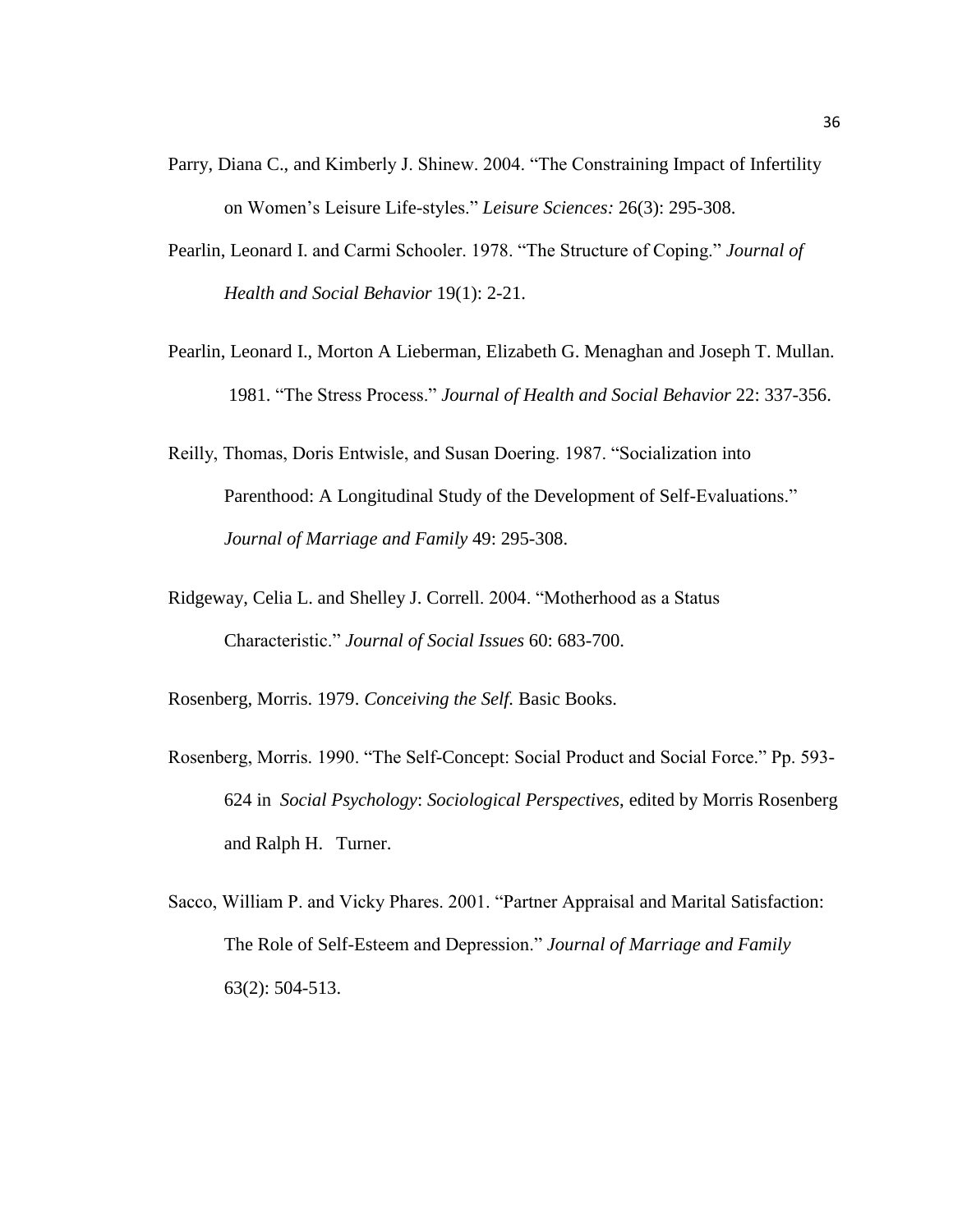- Parry, Diana C., and Kimberly J. Shinew. 2004. "The Constraining Impact of Infertility on Women's Leisure Life-styles." *Leisure Sciences:* 26(3): 295-308.
- Pearlin, Leonard I. and Carmi Schooler. 1978. "The Structure of Coping." *Journal of Health and Social Behavior* 19(1): 2-21.
- Pearlin, Leonard I., Morton A Lieberman, Elizabeth G. Menaghan and Joseph T. Mullan. 1981. "The Stress Process." *Journal of Health and Social Behavior* 22: 337-356.
- Reilly, Thomas, Doris Entwisle, and Susan Doering. 1987. "Socialization into Parenthood: A Longitudinal Study of the Development of Self-Evaluations." *Journal of Marriage and Family* 49: 295-308.
- Ridgeway, Celia L. and Shelley J. Correll. 2004. "Motherhood as a Status Characteristic." *Journal of Social Issues* 60: 683-700.

Rosenberg, Morris. 1979. *Conceiving the Self.* Basic Books.

- Rosenberg, Morris. 1990. "The Self-Concept: Social Product and Social Force." Pp. 593- 624 in *Social Psychology*: *Sociological Perspectives*, edited by Morris Rosenberg and Ralph H. Turner.
- Sacco, William P. and Vicky Phares. 2001. "Partner Appraisal and Marital Satisfaction: The Role of Self-Esteem and Depression." *Journal of Marriage and Family* 63(2): 504-513.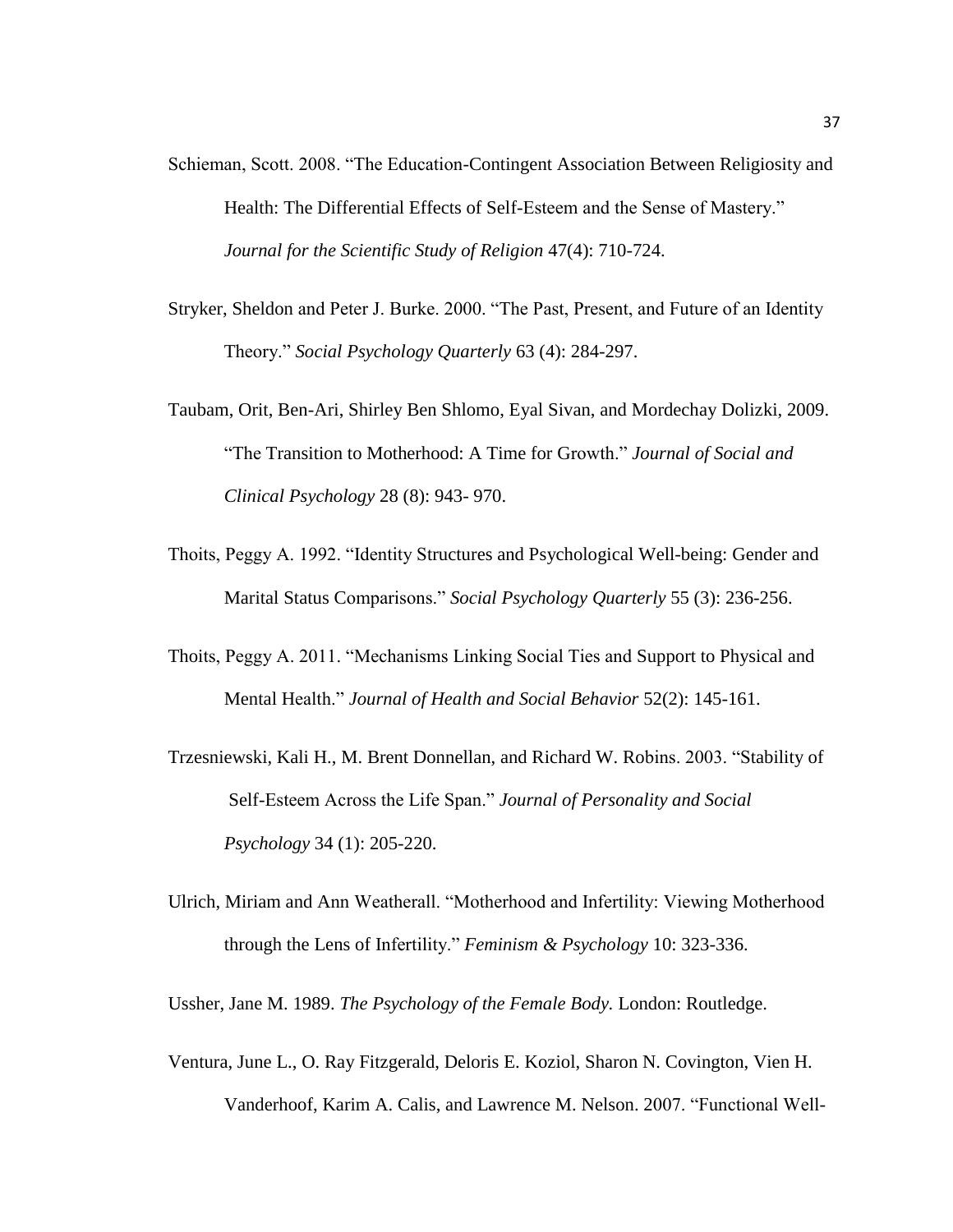- Schieman, Scott. 2008. "The Education-Contingent Association Between Religiosity and Health: The Differential Effects of Self-Esteem and the Sense of Mastery." *Journal for the Scientific Study of Religion* 47(4): 710-724.
- Stryker, Sheldon and Peter J. Burke. 2000. "The Past, Present, and Future of an Identity Theory." *Social Psychology Quarterly* 63 (4): 284-297.
- Taubam, Orit, Ben-Ari, Shirley Ben Shlomo, Eyal Sivan, and Mordechay Dolizki, 2009. "The Transition to Motherhood: A Time for Growth." *Journal of Social and Clinical Psychology* 28 (8): 943- 970.
- Thoits, Peggy A. 1992. "Identity Structures and Psychological Well-being: Gender and Marital Status Comparisons." *Social Psychology Quarterly* 55 (3): 236-256.
- Thoits, Peggy A. 2011. "Mechanisms Linking Social Ties and Support to Physical and Mental Health." *Journal of Health and Social Behavior* 52(2): 145-161.
- Trzesniewski, Kali H., M. Brent Donnellan, and Richard W. Robins. 2003. "Stability of Self-Esteem Across the Life Span." *Journal of Personality and Social Psychology* 34 (1): 205-220.
- Ulrich, Miriam and Ann Weatherall. "Motherhood and Infertility: Viewing Motherhood through the Lens of Infertility." *Feminism & Psychology* 10: 323-336.

Ussher, Jane M. 1989. *The Psychology of the Female Body.* London: Routledge.

Ventura, June L., O. Ray Fitzgerald, Deloris E. Koziol, Sharon N. Covington, Vien H. Vanderhoof, Karim A. Calis, and Lawrence M. Nelson. 2007. "Functional Well